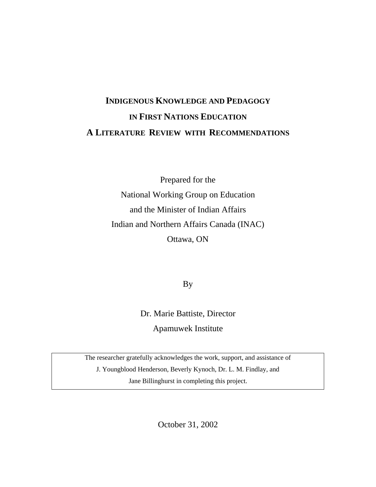# **INDIGENOUS KNOWLEDGE AND PEDAGOGY IN FIRST NATIONS EDUCATION A LITERATURE REVIEW WITH RECOMMENDATIONS**

Prepared for the National Working Group on Education and the Minister of Indian Affairs Indian and Northern Affairs Canada (INAC) Ottawa, ON

By

Dr. Marie Battiste, Director Apamuwek Institute

The researcher gratefully acknowledges the work, support, and assistance of J. Youngblood Henderson, Beverly Kynoch, Dr. L. M. Findlay, and Jane Billinghurst in completing this project.

October 31, 2002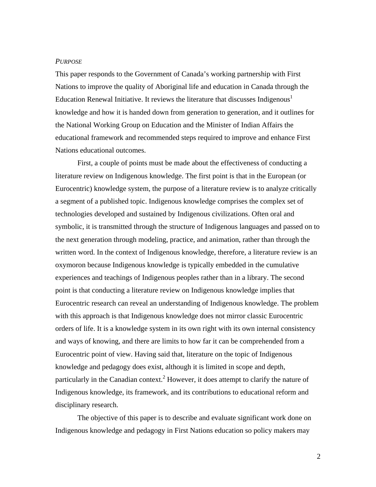#### *PURPOSE*

This paper responds to the Government of Canada's working partnership with First Nations to improve the quality of Aboriginal life and education in Canada through the Education Renewal Initiative. It reviews the literature that discusses Indigenous<sup>1</sup> knowledge and how it is handed down from generation to generation, and it outlines for the National Working Group on Education and the Minister of Indian Affairs the educational framework and recommended steps required to improve and enhance First Nations educational outcomes.

First, a couple of points must be made about the effectiveness of conducting a literature review on Indigenous knowledge. The first point is that in the European (or Eurocentric) knowledge system, the purpose of a literature review is to analyze critically a segment of a published topic. Indigenous knowledge comprises the complex set of technologies developed and sustained by Indigenous civilizations. Often oral and symbolic, it is transmitted through the structure of Indigenous languages and passed on to the next generation through modeling, practice, and animation, rather than through the written word. In the context of Indigenous knowledge, therefore, a literature review is an oxymoron because Indigenous knowledge is typically embedded in the cumulative experiences and teachings of Indigenous peoples rather than in a library. The second point is that conducting a literature review on Indigenous knowledge implies that Eurocentric research can reveal an understanding of Indigenous knowledge. The problem with this approach is that Indigenous knowledge does not mirror classic Eurocentric orders of life. It is a knowledge system in its own right with its own internal consistency and ways of knowing, and there are limits to how far it can be comprehended from a Eurocentric point of view. Having said that, literature on the topic of Indigenous knowledge and pedagogy does exist, although it is limited in scope and depth, particularly in the Canadian context.<sup>2</sup> However, it does attempt to clarify the nature of Indigenous knowledge, its framework, and its contributions to educational reform and disciplinary research.

The objective of this paper is to describe and evaluate significant work done on Indigenous knowledge and pedagogy in First Nations education so policy makers may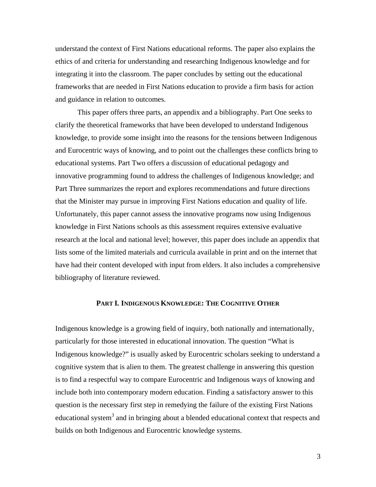understand the context of First Nations educational reforms. The paper also explains the ethics of and criteria for understanding and researching Indigenous knowledge and for integrating it into the classroom. The paper concludes by setting out the educational frameworks that are needed in First Nations education to provide a firm basis for action and guidance in relation to outcomes.

This paper offers three parts, an appendix and a bibliography. Part One seeks to clarify the theoretical frameworks that have been developed to understand Indigenous knowledge, to provide some insight into the reasons for the tensions between Indigenous and Eurocentric ways of knowing, and to point out the challenges these conflicts bring to educational systems. Part Two offers a discussion of educational pedagogy and innovative programming found to address the challenges of Indigenous knowledge; and Part Three summarizes the report and explores recommendations and future directions that the Minister may pursue in improving First Nations education and quality of life. Unfortunately, this paper cannot assess the innovative programs now using Indigenous knowledge in First Nations schools as this assessment requires extensive evaluative research at the local and national level; however, this paper does include an appendix that lists some of the limited materials and curricula available in print and on the internet that have had their content developed with input from elders. It also includes a comprehensive bibliography of literature reviewed.

#### **PART I***.* **INDIGENOUS KNOWLEDGE: THE COGNITIVE OTHER**

Indigenous knowledge is a growing field of inquiry, both nationally and internationally, particularly for those interested in educational innovation. The question "What is Indigenous knowledge?" is usually asked by Eurocentric scholars seeking to understand a cognitive system that is alien to them. The greatest challenge in answering this question is to find a respectful way to compare Eurocentric and Indigenous ways of knowing and include both into contemporary modern education. Finding a satisfactory answer to this question is the necessary first step in remedying the failure of the existing First Nations educational system<sup>3</sup> and in bringing about a blended educational context that respects and builds on both Indigenous and Eurocentric knowledge systems.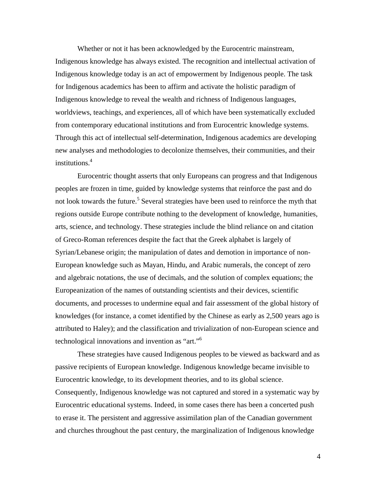Whether or not it has been acknowledged by the Eurocentric mainstream, Indigenous knowledge has always existed. The recognition and intellectual activation of Indigenous knowledge today is an act of empowerment by Indigenous people. The task for Indigenous academics has been to affirm and activate the holistic paradigm of Indigenous knowledge to reveal the wealth and richness of Indigenous languages, worldviews, teachings, and experiences, all of which have been systematically excluded from contemporary educational institutions and from Eurocentric knowledge systems. Through this act of intellectual self-determination, Indigenous academics are developing new analyses and methodologies to decolonize themselves, their communities, and their institutions.<sup>4</sup>

Eurocentric thought asserts that only Europeans can progress and that Indigenous peoples are frozen in time, guided by knowledge systems that reinforce the past and do not look towards the future.<sup>5</sup> Several strategies have been used to reinforce the myth that regions outside Europe contribute nothing to the development of knowledge, humanities, arts, science, and technology. These strategies include the blind reliance on and citation of Greco-Roman references despite the fact that the Greek alphabet is largely of Syrian/Lebanese origin; the manipulation of dates and demotion in importance of non-European knowledge such as Mayan, Hindu, and Arabic numerals, the concept of zero and algebraic notations, the use of decimals, and the solution of complex equations; the Europeanization of the names of outstanding scientists and their devices, scientific documents, and processes to undermine equal and fair assessment of the global history of knowledges (for instance, a comet identified by the Chinese as early as 2,500 years ago is attributed to Haley); and the classification and trivialization of non-European science and technological innovations and invention as "art."<sup>6</sup>

These strategies have caused Indigenous peoples to be viewed as backward and as passive recipients of European knowledge. Indigenous knowledge became invisible to Eurocentric knowledge, to its development theories, and to its global science. Consequently, Indigenous knowledge was not captured and stored in a systematic way by Eurocentric educational systems. Indeed, in some cases there has been a concerted push to erase it. The persistent and aggressive assimilation plan of the Canadian government and churches throughout the past century, the marginalization of Indigenous knowledge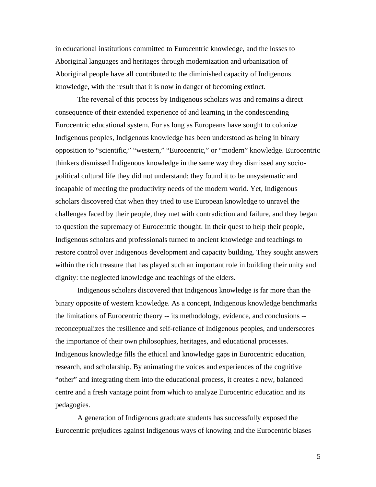in educational institutions committed to Eurocentric knowledge, and the losses to Aboriginal languages and heritages through modernization and urbanization of Aboriginal people have all contributed to the diminished capacity of Indigenous knowledge, with the result that it is now in danger of becoming extinct.

The reversal of this process by Indigenous scholars was and remains a direct consequence of their extended experience of and learning in the condescending Eurocentric educational system. For as long as Europeans have sought to colonize Indigenous peoples, Indigenous knowledge has been understood as being in binary opposition to "scientific," "western," "Eurocentric," or "modern" knowledge. Eurocentric thinkers dismissed Indigenous knowledge in the same way they dismissed any sociopolitical cultural life they did not understand: they found it to be unsystematic and incapable of meeting the productivity needs of the modern world. Yet, Indigenous scholars discovered that when they tried to use European knowledge to unravel the challenges faced by their people, they met with contradiction and failure, and they began to question the supremacy of Eurocentric thought. In their quest to help their people, Indigenous scholars and professionals turned to ancient knowledge and teachings to restore control over Indigenous development and capacity building. They sought answers within the rich treasure that has played such an important role in building their unity and dignity: the neglected knowledge and teachings of the elders.

Indigenous scholars discovered that Indigenous knowledge is far more than the binary opposite of western knowledge. As a concept, Indigenous knowledge benchmarks the limitations of Eurocentric theory -- its methodology, evidence, and conclusions - reconceptualizes the resilience and self-reliance of Indigenous peoples, and underscores the importance of their own philosophies, heritages, and educational processes. Indigenous knowledge fills the ethical and knowledge gaps in Eurocentric education, research, and scholarship. By animating the voices and experiences of the cognitive "other" and integrating them into the educational process, it creates a new, balanced centre and a fresh vantage point from which to analyze Eurocentric education and its pedagogies.

A generation of Indigenous graduate students has successfully exposed the Eurocentric prejudices against Indigenous ways of knowing and the Eurocentric biases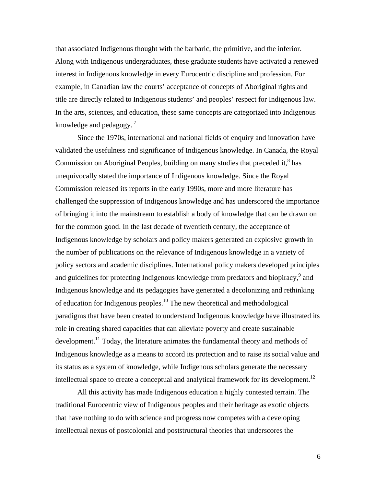that associated Indigenous thought with the barbaric, the primitive, and the inferior. Along with Indigenous undergraduates, these graduate students have activated a renewed interest in Indigenous knowledge in every Eurocentric discipline and profession. For example, in Canadian law the courts' acceptance of concepts of Aboriginal rights and title are directly related to Indigenous students' and peoples' respect for Indigenous law. In the arts, sciences, and education, these same concepts are categorized into Indigenous knowledge and pedagogy.<sup>7</sup>

Since the 1970s, international and national fields of enquiry and innovation have validated the usefulness and significance of Indigenous knowledge. In Canada, the Royal Commission on Aboriginal Peoples, building on many studies that preceded it, $^8$  has unequivocally stated the importance of Indigenous knowledge. Since the Royal Commission released its reports in the early 1990s, more and more literature has challenged the suppression of Indigenous knowledge and has underscored the importance of bringing it into the mainstream to establish a body of knowledge that can be drawn on for the common good. In the last decade of twentieth century, the acceptance of Indigenous knowledge by scholars and policy makers generated an explosive growth in the number of publications on the relevance of Indigenous knowledge in a variety of policy sectors and academic disciplines. International policy makers developed principles and guidelines for protecting Indigenous knowledge from predators and biopiracy,  $9$  and Indigenous knowledge and its pedagogies have generated a decolonizing and rethinking of education for Indigenous peoples.<sup>10</sup> The new theoretical and methodological paradigms that have been created to understand Indigenous knowledge have illustrated its role in creating shared capacities that can alleviate poverty and create sustainable development.<sup>11</sup> Today, the literature animates the fundamental theory and methods of Indigenous knowledge as a means to accord its protection and to raise its social value and its status as a system of knowledge, while Indigenous scholars generate the necessary intellectual space to create a conceptual and analytical framework for its development.<sup>12</sup>

All this activity has made Indigenous education a highly contested terrain. The traditional Eurocentric view of Indigenous peoples and their heritage as exotic objects that have nothing to do with science and progress now competes with a developing intellectual nexus of postcolonial and poststructural theories that underscores the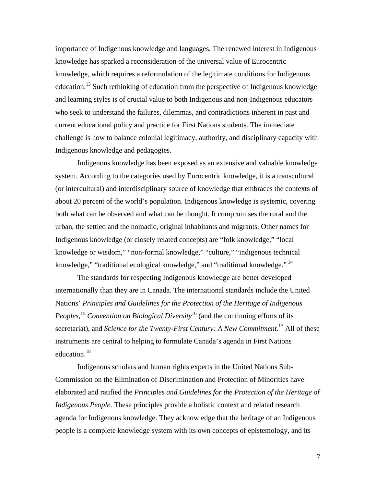importance of Indigenous knowledge and languages. The renewed interest in Indigenous knowledge has sparked a reconsideration of the universal value of Eurocentric knowledge, which requires a reformulation of the legitimate conditions for Indigenous education.<sup>13</sup> Such rethinking of education from the perspective of Indigenous knowledge and learning styles is of crucial value to both Indigenous and non-Indigenous educators who seek to understand the failures, dilemmas, and contradictions inherent in past and current educational policy and practice for First Nations students. The immediate challenge is how to balance colonial legitimacy, authority, and disciplinary capacity with Indigenous knowledge and pedagogies.

Indigenous knowledge has been exposed as an extensive and valuable knowledge system. According to the categories used by Eurocentric knowledge, it is a transcultural (or intercultural) and interdisciplinary source of knowledge that embraces the contexts of about 20 percent of the world's population. Indigenous knowledge is systemic, covering both what can be observed and what can be thought. It compromises the rural and the urban, the settled and the nomadic, original inhabitants and migrants. Other names for Indigenous knowledge (or closely related concepts) are "folk knowledge," "local knowledge or wisdom," "non-formal knowledge," "culture," "indigenous technical knowledge," "traditional ecological knowledge," and "traditional knowledge."<sup>14</sup>

The standards for respecting Indigenous knowledge are better developed internationally than they are in Canada. The international standards include the United Nations' *Principles and Guidelines for the Protection of the Heritage of Indigenous Peoples,*<sup>15</sup> *Convention on Biological Diversity*<sup>16</sup> (and the continuing efforts of its secretariat), and *Science for the Twenty-First Century: A New Commitment*. <sup>17</sup> All of these instruments are central to helping to formulate Canada's agenda in First Nations education.<sup>18</sup>

Indigenous scholars and human rights experts in the United Nations Sub-Commission on the Elimination of Discrimination and Protection of Minorities have elaborated and ratified the *Principles and Guidelines for the Protection of the Heritage of Indigenous People*. These principles provide a holistic context and related research agenda for Indigenous knowledge. They acknowledge that the heritage of an Indigenous people is a complete knowledge system with its own concepts of epistemology, and its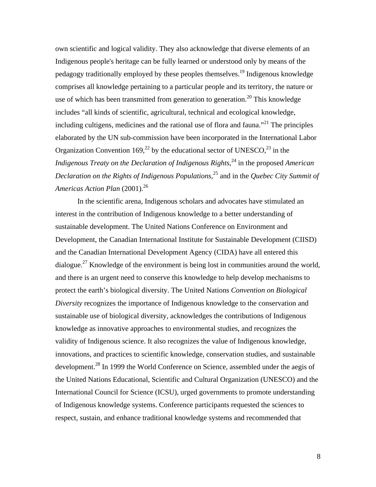own scientific and logical validity. They also acknowledge that diverse elements of an Indigenous people's heritage can be fully learned or understood only by means of the pedagogy traditionally employed by these peoples themselves.<sup>19</sup> Indigenous knowledge comprises all knowledge pertaining to a particular people and its territory, the nature or use of which has been transmitted from generation to generation.<sup>20</sup> This knowledge includes "all kinds of scientific, agricultural, technical and ecological knowledge, including cultigens, medicines and the rational use of flora and fauna.<sup> $21$ </sup> The principles elaborated by the UN sub-commission have been incorporated in the International Labor Organization Convention  $169<sup>22</sup>$  by the educational sector of UNESCO,<sup>23</sup> in the *Indigenous Treaty on the Declaration of Indigenous Rights*, <sup>24</sup> in the proposed *American Declaration on the Rights of Indigenous Populations*, <sup>25</sup> and in the *Quebec City Summit of Americas Action Plan* (2001).<sup>26</sup>

In the scientific arena, Indigenous scholars and advocates have stimulated an interest in the contribution of Indigenous knowledge to a better understanding of sustainable development. The United Nations Conference on Environment and Development, the Canadian International Institute for Sustainable Development (CIISD) and the Canadian International Development Agency (CIDA) have all entered this dialogue.<sup>27</sup> Knowledge of the environment is being lost in communities around the world, and there is an urgent need to conserve this knowledge to help develop mechanisms to protect the earth's biological diversity. The United Nations *Convention on Biological Diversity* recognizes the importance of Indigenous knowledge to the conservation and sustainable use of biological diversity, acknowledges the contributions of Indigenous knowledge as innovative approaches to environmental studies, and recognizes the validity of Indigenous science. It also recognizes the value of Indigenous knowledge, innovations, and practices to scientific knowledge, conservation studies, and sustainable development.<sup>28</sup> In 1999 the World Conference on Science, assembled under the aegis of the United Nations Educational, Scientific and Cultural Organization (UNESCO) and the International Council for Science (ICSU), urged governments to promote understanding of Indigenous knowledge systems. Conference participants requested the sciences to respect, sustain, and enhance traditional knowledge systems and recommended that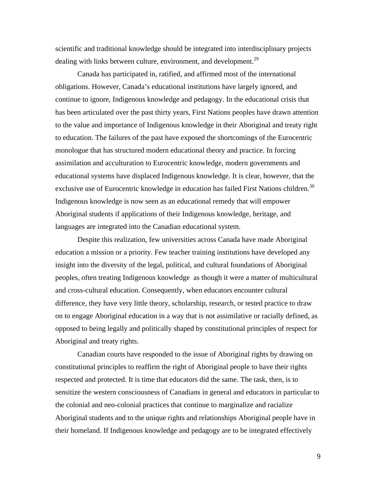scientific and traditional knowledge should be integrated into interdisciplinary projects dealing with links between culture, environment, and development.<sup>29</sup>

Canada has participated in, ratified, and affirmed most of the international obligations. However, Canada's educational institutions have largely ignored, and continue to ignore, Indigenous knowledge and pedagogy. In the educational crisis that has been articulated over the past thirty years, First Nations peoples have drawn attention to the value and importance of Indigenous knowledge in their Aboriginal and treaty right to education. The failures of the past have exposed the shortcomings of the Eurocentric monologue that has structured modern educational theory and practice. In forcing assimilation and acculturation to Eurocentric knowledge, modern governments and educational systems have displaced Indigenous knowledge. It is clear, however, that the exclusive use of Eurocentric knowledge in education has failed First Nations children.<sup>30</sup> Indigenous knowledge is now seen as an educational remedy that will empower Aboriginal students if applications of their Indigenous knowledge, heritage, and languages are integrated into the Canadian educational system.

Despite this realization, few universities across Canada have made Aboriginal education a mission or a priority. Few teacher training institutions have developed any insight into the diversity of the legal, political, and cultural foundations of Aboriginal peoples, often treating Indigenous knowledge as though it were a matter of multicultural and cross-cultural education. Consequently, when educators encounter cultural difference, they have very little theory, scholarship, research, or tested practice to draw on to engage Aboriginal education in a way that is not assimilative or racially defined, as opposed to being legally and politically shaped by constitutional principles of respect for Aboriginal and treaty rights.

Canadian courts have responded to the issue of Aboriginal rights by drawing on constitutional principles to reaffirm the right of Aboriginal people to have their rights respected and protected. It is time that educators did the same. The task, then, is to sensitize the western consciousness of Canadians in general and educators in particular to the colonial and neo-colonial practices that continue to marginalize and racialize Aboriginal students and to the unique rights and relationships Aboriginal people have in their homeland. If Indigenous knowledge and pedagogy are to be integrated effectively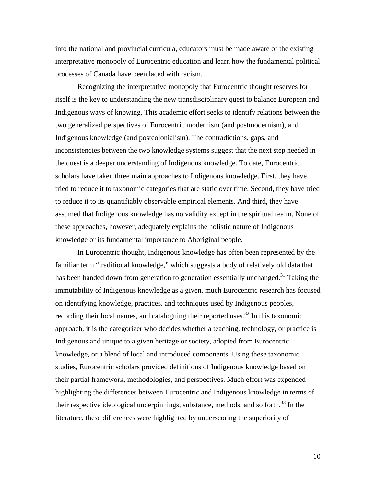into the national and provincial curricula, educators must be made aware of the existing interpretative monopoly of Eurocentric education and learn how the fundamental political processes of Canada have been laced with racism.

Recognizing the interpretative monopoly that Eurocentric thought reserves for itself is the key to understanding the new transdisciplinary quest to balance European and Indigenous ways of knowing. This academic effort seeks to identify relations between the two generalized perspectives of Eurocentric modernism (and postmodernism), and Indigenous knowledge (and postcolonialism). The contradictions, gaps, and inconsistencies between the two knowledge systems suggest that the next step needed in the quest is a deeper understanding of Indigenous knowledge. To date, Eurocentric scholars have taken three main approaches to Indigenous knowledge. First, they have tried to reduce it to taxonomic categories that are static over time. Second, they have tried to reduce it to its quantifiably observable empirical elements. And third, they have assumed that Indigenous knowledge has no validity except in the spiritual realm. None of these approaches, however, adequately explains the holistic nature of Indigenous knowledge or its fundamental importance to Aboriginal people.

In Eurocentric thought, Indigenous knowledge has often been represented by the familiar term "traditional knowledge," which suggests a body of relatively old data that has been handed down from generation to generation essentially unchanged.<sup>31</sup> Taking the immutability of Indigenous knowledge as a given, much Eurocentric research has focused on identifying knowledge, practices, and techniques used by Indigenous peoples, recording their local names, and cataloguing their reported uses.<sup>32</sup> In this taxonomic approach, it is the categorizer who decides whether a teaching, technology, or practice is Indigenous and unique to a given heritage or society, adopted from Eurocentric knowledge, or a blend of local and introduced components. Using these taxonomic studies, Eurocentric scholars provided definitions of Indigenous knowledge based on their partial framework, methodologies, and perspectives. Much effort was expended highlighting the differences between Eurocentric and Indigenous knowledge in terms of their respective ideological underpinnings, substance, methods, and so forth.<sup>33</sup> In the literature, these differences were highlighted by underscoring the superiority of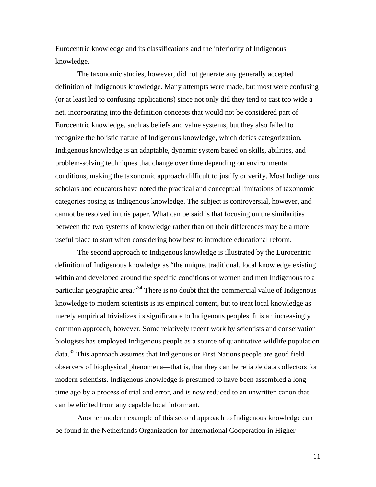Eurocentric knowledge and its classifications and the inferiority of Indigenous knowledge.

The taxonomic studies, however, did not generate any generally accepted definition of Indigenous knowledge. Many attempts were made, but most were confusing (or at least led to confusing applications) since not only did they tend to cast too wide a net, incorporating into the definition concepts that would not be considered part of Eurocentric knowledge, such as beliefs and value systems, but they also failed to recognize the holistic nature of Indigenous knowledge, which defies categorization. Indigenous knowledge is an adaptable, dynamic system based on skills, abilities, and problem-solving techniques that change over time depending on environmental conditions, making the taxonomic approach difficult to justify or verify. Most Indigenous scholars and educators have noted the practical and conceptual limitations of taxonomic categories posing as Indigenous knowledge. The subject is controversial, however, and cannot be resolved in this paper. What can be said is that focusing on the similarities between the two systems of knowledge rather than on their differences may be a more useful place to start when considering how best to introduce educational reform.

The second approach to Indigenous knowledge is illustrated by the Eurocentric definition of Indigenous knowledge as "the unique, traditional, local knowledge existing within and developed around the specific conditions of women and men Indigenous to a particular geographic area."<sup>34</sup> There is no doubt that the commercial value of Indigenous knowledge to modern scientists is its empirical content, but to treat local knowledge as merely empirical trivializes its significance to Indigenous peoples. It is an increasingly common approach, however. Some relatively recent work by scientists and conservation biologists has employed Indigenous people as a source of quantitative wildlife population data.<sup>35</sup> This approach assumes that Indigenous or First Nations people are good field observers of biophysical phenomena—that is, that they can be reliable data collectors for modern scientists. Indigenous knowledge is presumed to have been assembled a long time ago by a process of trial and error, and is now reduced to an unwritten canon that can be elicited from any capable local informant.

Another modern example of this second approach to Indigenous knowledge can be found in the Netherlands Organization for International Cooperation in Higher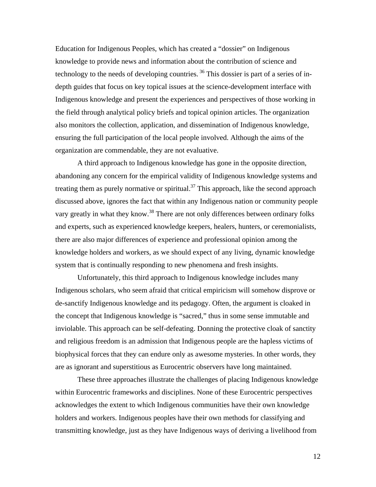Education for Indigenous Peoples, which has created a "dossier" on Indigenous knowledge to provide news and information about the contribution of science and technology to the needs of developing countries.<sup>36</sup> This dossier is part of a series of indepth guides that focus on key topical issues at the science-development interface with Indigenous knowledge and present the experiences and perspectives of those working in the field through analytical policy briefs and topical opinion articles. The organization also monitors the collection, application, and dissemination of Indigenous knowledge, ensuring the full participation of the local people involved. Although the aims of the organization are commendable, they are not evaluative.

A third approach to Indigenous knowledge has gone in the opposite direction, abandoning any concern for the empirical validity of Indigenous knowledge systems and treating them as purely normative or spiritual.<sup>37</sup> This approach, like the second approach discussed above, ignores the fact that within any Indigenous nation or community people vary greatly in what they know.<sup>38</sup> There are not only differences between ordinary folks and experts, such as experienced knowledge keepers, healers, hunters, or ceremonialists, there are also major differences of experience and professional opinion among the knowledge holders and workers, as we should expect of any living, dynamic knowledge system that is continually responding to new phenomena and fresh insights.

Unfortunately, this third approach to Indigenous knowledge includes many Indigenous scholars, who seem afraid that critical empiricism will somehow disprove or de-sanctify Indigenous knowledge and its pedagogy. Often, the argument is cloaked in the concept that Indigenous knowledge is "sacred," thus in some sense immutable and inviolable. This approach can be self-defeating. Donning the protective cloak of sanctity and religious freedom is an admission that Indigenous people are the hapless victims of biophysical forces that they can endure only as awesome mysteries. In other words, they are as ignorant and superstitious as Eurocentric observers have long maintained.

These three approaches illustrate the challenges of placing Indigenous knowledge within Eurocentric frameworks and disciplines. None of these Eurocentric perspectives acknowledges the extent to which Indigenous communities have their own knowledge holders and workers. Indigenous peoples have their own methods for classifying and transmitting knowledge, just as they have Indigenous ways of deriving a livelihood from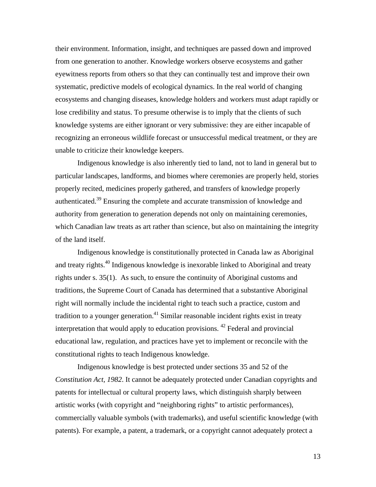their environment. Information, insight, and techniques are passed down and improved from one generation to another. Knowledge workers observe ecosystems and gather eyewitness reports from others so that they can continually test and improve their own systematic, predictive models of ecological dynamics. In the real world of changing ecosystems and changing diseases, knowledge holders and workers must adapt rapidly or lose credibility and status. To presume otherwise is to imply that the clients of such knowledge systems are either ignorant or very submissive: they are either incapable of recognizing an erroneous wildlife forecast or unsuccessful medical treatment, or they are unable to criticize their knowledge keepers.

Indigenous knowledge is also inherently tied to land, not to land in general but to particular landscapes, landforms, and biomes where ceremonies are properly held, stories properly recited, medicines properly gathered, and transfers of knowledge properly authenticated.<sup>39</sup> Ensuring the complete and accurate transmission of knowledge and authority from generation to generation depends not only on maintaining ceremonies, which Canadian law treats as art rather than science, but also on maintaining the integrity of the land itself.

Indigenous knowledge is constitutionally protected in Canada law as Aboriginal and treaty rights.<sup>40</sup> Indigenous knowledge is inexorable linked to Aboriginal and treaty rights under s. 35(1). As such, to ensure the continuity of Aboriginal customs and traditions, the Supreme Court of Canada has determined that a substantive Aboriginal right will normally include the incidental right to teach such a practice, custom and tradition to a younger generation.<sup>41</sup> Similar reasonable incident rights exist in treaty interpretation that would apply to education provisions. <sup>42</sup> Federal and provincial educational law, regulation, and practices have yet to implement or reconcile with the constitutional rights to teach Indigenous knowledge.

Indigenous knowledge is best protected under sections 35 and 52 of the *Constitution Act, 1982*. It cannot be adequately protected under Canadian copyrights and patents for intellectual or cultural property laws, which distinguish sharply between artistic works (with copyright and "neighboring rights" to artistic performances), commercially valuable symbols (with trademarks), and useful scientific knowledge (with patents). For example, a patent, a trademark, or a copyright cannot adequately protect a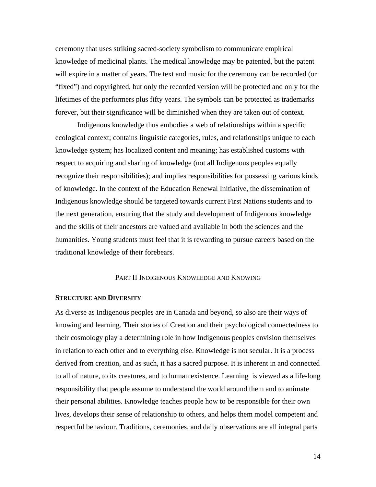ceremony that uses striking sacred-society symbolism to communicate empirical knowledge of medicinal plants. The medical knowledge may be patented, but the patent will expire in a matter of years. The text and music for the ceremony can be recorded (or "fixed") and copyrighted, but only the recorded version will be protected and only for the lifetimes of the performers plus fifty years. The symbols can be protected as trademarks forever, but their significance will be diminished when they are taken out of context.

Indigenous knowledge thus embodies a web of relationships within a specific ecological context; contains linguistic categories, rules, and relationships unique to each knowledge system; has localized content and meaning; has established customs with respect to acquiring and sharing of knowledge (not all Indigenous peoples equally recognize their responsibilities); and implies responsibilities for possessing various kinds of knowledge. In the context of the Education Renewal Initiative, the dissemination of Indigenous knowledge should be targeted towards current First Nations students and to the next generation, ensuring that the study and development of Indigenous knowledge and the skills of their ancestors are valued and available in both the sciences and the humanities. Young students must feel that it is rewarding to pursue careers based on the traditional knowledge of their forebears.

#### PART II INDIGENOUS KNOWLEDGE AND KNOWING

#### **STRUCTURE AND DIVERSITY**

As diverse as Indigenous peoples are in Canada and beyond, so also are their ways of knowing and learning. Their stories of Creation and their psychological connectedness to their cosmology play a determining role in how Indigenous peoples envision themselves in relation to each other and to everything else. Knowledge is not secular. It is a process derived from creation, and as such, it has a sacred purpose. It is inherent in and connected to all of nature, to its creatures, and to human existence. Learning is viewed as a life-long responsibility that people assume to understand the world around them and to animate their personal abilities. Knowledge teaches people how to be responsible for their own lives, develops their sense of relationship to others, and helps them model competent and respectful behaviour. Traditions, ceremonies, and daily observations are all integral parts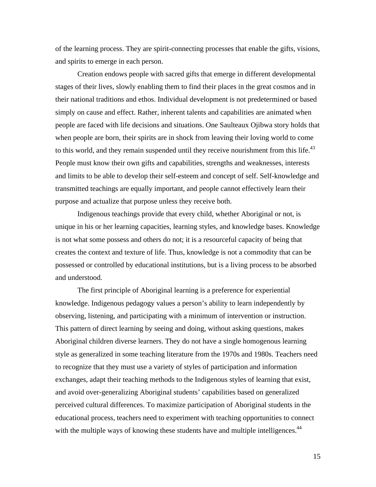of the learning process. They are spirit-connecting processes that enable the gifts, visions, and spirits to emerge in each person.

Creation endows people with sacred gifts that emerge in different developmental stages of their lives, slowly enabling them to find their places in the great cosmos and in their national traditions and ethos. Individual development is not predetermined or based simply on cause and effect. Rather, inherent talents and capabilities are animated when people are faced with life decisions and situations. One Saulteaux Ojibwa story holds that when people are born, their spirits are in shock from leaving their loving world to come to this world, and they remain suspended until they receive nourishment from this life.<sup>43</sup> People must know their own gifts and capabilities, strengths and weaknesses, interests and limits to be able to develop their self-esteem and concept of self. Self-knowledge and transmitted teachings are equally important, and people cannot effectively learn their purpose and actualize that purpose unless they receive both.

Indigenous teachings provide that every child, whether Aboriginal or not, is unique in his or her learning capacities, learning styles, and knowledge bases. Knowledge is not what some possess and others do not; it is a resourceful capacity of being that creates the context and texture of life. Thus, knowledge is not a commodity that can be possessed or controlled by educational institutions, but is a living process to be absorbed and understood.

The first principle of Aboriginal learning is a preference for experiential knowledge. Indigenous pedagogy values a person's ability to learn independently by observing, listening, and participating with a minimum of intervention or instruction. This pattern of direct learning by seeing and doing, without asking questions, makes Aboriginal children diverse learners. They do not have a single homogenous learning style as generalized in some teaching literature from the 1970s and 1980s. Teachers need to recognize that they must use a variety of styles of participation and information exchanges, adapt their teaching methods to the Indigenous styles of learning that exist, and avoid over-generalizing Aboriginal students' capabilities based on generalized perceived cultural differences. To maximize participation of Aboriginal students in the educational process, teachers need to experiment with teaching opportunities to connect with the multiple ways of knowing these students have and multiple intelligences.<sup>44</sup>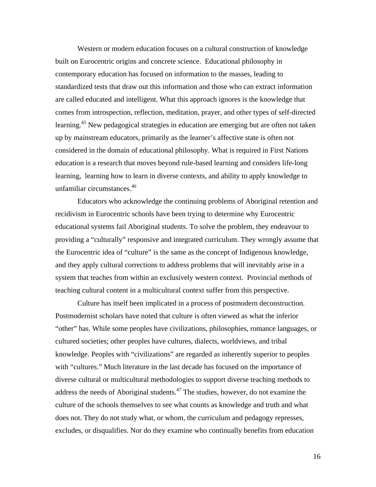Western or modern education focuses on a cultural construction of knowledge built on Eurocentric origins and concrete science. Educational philosophy in contemporary education has focused on information to the masses, leading to standardized tests that draw out this information and those who can extract information are called educated and intelligent. What this approach ignores is the knowledge that comes from introspection, reflection, meditation, prayer, and other types of self-directed learning.<sup>45</sup> New pedagogical strategies in education are emerging but are often not taken up by mainstream educators, primarily as the learner's affective state is often not considered in the domain of educational philosophy. What is required in First Nations education is a research that moves beyond rule-based learning and considers life-long learning, learning how to learn in diverse contexts, and ability to apply knowledge to unfamiliar circumstances.<sup>46</sup>

Educators who acknowledge the continuing problems of Aboriginal retention and recidivism in Eurocentric schools have been trying to determine why Eurocentric educational systems fail Aboriginal students. To solve the problem, they endeavour to providing a "culturally" responsive and integrated curriculum. They wrongly assume that the Eurocentric idea of "culture" is the same as the concept of Indigenous knowledge, and they apply cultural corrections to address problems that will inevitably arise in a system that teaches from within an exclusively western context. Provincial methods of teaching cultural content in a multicultural context suffer from this perspective.

Culture has itself been implicated in a process of postmodern deconstruction. Postmodernist scholars have noted that culture is often viewed as what the inferior "other" has. While some peoples have civilizations, philosophies, romance languages, or cultured societies; other peoples have cultures, dialects, worldviews, and tribal knowledge. Peoples with "civilizations" are regarded as inherently superior to peoples with "cultures." Much literature in the last decade has focused on the importance of diverse cultural or multicultural methodologies to support diverse teaching methods to address the needs of Aboriginal students.<sup>47</sup> The studies, however, do not examine the culture of the schools themselves to see what counts as knowledge and truth and what does not. They do not study what, or whom, the curriculum and pedagogy represses, excludes, or disqualifies. Nor do they examine who continually benefits from education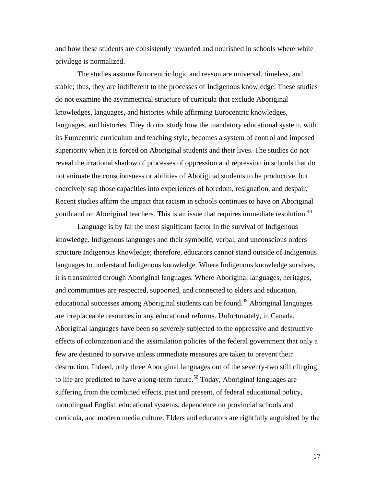and how these students are consistently rewarded and nourished in schools where white privilege is normalized.

The studies assume Eurocentric logic and reason are universal, timeless, and stable; thus, they are indifferent to the processes of Indigenous knowledge. These studies do not examine the asymmetrical structure of curricula that exclude Aboriginal knowledges, languages, and histories while affirming Eurocentric knowledges, languages, and histories. They do not study how the mandatory educational system, with its Eurocentric curriculum and teaching style, becomes a system of control and imposed superiority when it is forced on Aboriginal students and their lives. The studies do not reveal the irrational shadow of processes of oppression and repression in schools that do not animate the consciousness or abilities of Aboriginal students to be productive, but coercively sap those capacities into experiences of boredom, resignation, and despair. Recent studies affirm the impact that racism in schools continues to have on Aboriginal youth and on Aboriginal teachers. This is an issue that requires immediate resolution.<sup>48</sup>

Language is by far the most significant factor in the survival of Indigenous knowledge. Indigenous languages and their symbolic, verbal, and unconscious orders structure Indigenous knowledge; therefore, educators cannot stand outside of Indigenous languages to understand Indigenous knowledge. Where Indigenous knowledge survives, it is transmitted through Aboriginal languages. Where Aboriginal languages, heritages, and communities are respected, supported, and connected to elders and education, educational successes among Aboriginal students can be found.<sup>49</sup> Aboriginal languages are irreplaceable resources in any educational reforms. Unfortunately, in Canada, Aboriginal languages have been so severely subjected to the oppressive and destructive effects of colonization and the assimilation policies of the federal government that only a few are destined to survive unless immediate measures are taken to prevent their destruction. Indeed, only three Aboriginal languages out of the seventy-two still clinging to life are predicted to have a long-term future.<sup>50</sup> Today, Aboriginal languages are suffering from the combined effects, past and present, of federal educational policy, monolingual English educational systems, dependence on provincial schools and curricula, and modern media culture. Elders and educators are rightfully anguished by the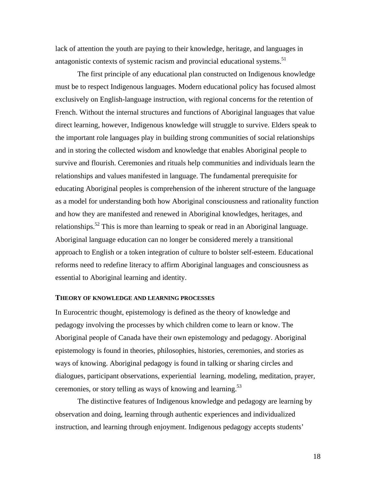lack of attention the youth are paying to their knowledge, heritage, and languages in antagonistic contexts of systemic racism and provincial educational systems.<sup>51</sup>

The first principle of any educational plan constructed on Indigenous knowledge must be to respect Indigenous languages. Modern educational policy has focused almost exclusively on English-language instruction, with regional concerns for the retention of French. Without the internal structures and functions of Aboriginal languages that value direct learning, however, Indigenous knowledge will struggle to survive. Elders speak to the important role languages play in building strong communities of social relationships and in storing the collected wisdom and knowledge that enables Aboriginal people to survive and flourish. Ceremonies and rituals help communities and individuals learn the relationships and values manifested in language. The fundamental prerequisite for educating Aboriginal peoples is comprehension of the inherent structure of the language as a model for understanding both how Aboriginal consciousness and rationality function and how they are manifested and renewed in Aboriginal knowledges, heritages, and relationships.<sup>52</sup> This is more than learning to speak or read in an Aboriginal language. Aboriginal language education can no longer be considered merely a transitional approach to English or a token integration of culture to bolster self-esteem. Educational reforms need to redefine literacy to affirm Aboriginal languages and consciousness as essential to Aboriginal learning and identity.

#### **THEORY OF KNOWLEDGE AND LEARNING PROCESSES**

In Eurocentric thought, epistemology is defined as the theory of knowledge and pedagogy involving the processes by which children come to learn or know. The Aboriginal people of Canada have their own epistemology and pedagogy. Aboriginal epistemology is found in theories, philosophies, histories, ceremonies, and stories as ways of knowing. Aboriginal pedagogy is found in talking or sharing circles and dialogues, participant observations, experiential learning, modeling, meditation, prayer, ceremonies, or story telling as ways of knowing and learning. $^{53}$ 

The distinctive features of Indigenous knowledge and pedagogy are learning by observation and doing, learning through authentic experiences and individualized instruction, and learning through enjoyment. Indigenous pedagogy accepts students'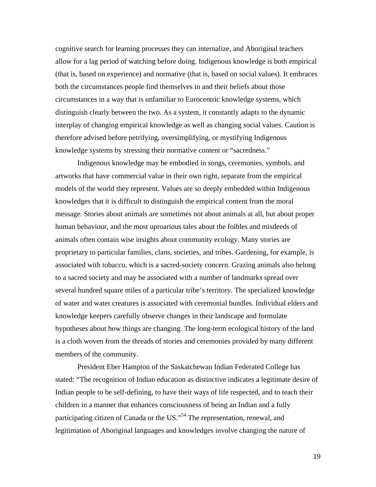cognitive search for learning processes they can internalize, and Aboriginal teachers allow for a lag period of watching before doing. Indigenous knowledge is both empirical (that is, based on experience) and normative (that is, based on social values). It embraces both the circumstances people find themselves in and their beliefs about those circumstances in a way that is unfamiliar to Eurocentric knowledge systems, which distinguish clearly between the two. As a system, it constantly adapts to the dynamic interplay of changing empirical knowledge as well as changing social values. Caution is therefore advised before petrifying, oversimplifying, or mystifying Indigenous knowledge systems by stressing their normative content or "sacredness."

Indigenous knowledge may be embodied in songs, ceremonies, symbols, and artworks that have commercial value in their own right, separate from the empirical models of the world they represent. Values are so deeply embedded within Indigenous knowledges that it is difficult to distinguish the empirical content from the moral message. Stories about animals are sometimes not about animals at all, but about proper human behaviour, and the most uproarious tales about the foibles and misdeeds of animals often contain wise insights about community ecology. Many stories are proprietary to particular families, clans, societies, and tribes. Gardening, for example, is associated with tobacco, which is a sacred-society concern. Grazing animals also belong to a sacred society and may be associated with a number of landmarks spread over several hundred square miles of a particular tribe's territory. The specialized knowledge of water and water creatures is associated with ceremonial bundles. Individual elders and knowledge keepers carefully observe changes in their landscape and formulate hypotheses about how things are changing. The long-term ecological history of the land is a cloth woven from the threads of stories and ceremonies provided by many different members of the community.

President Eber Hampton of the Saskatchewan Indian Federated College has stated: "The recognition of Indian education as distinctive indicates a legitimate desire of Indian people to be self-defining, to have their ways of life respected, and to teach their children in a manner that enhances consciousness of being an Indian and a fully participating citizen of Canada or the US."<sup>54</sup> The representation, renewal, and legitimation of Aboriginal languages and knowledges involve changing the nature of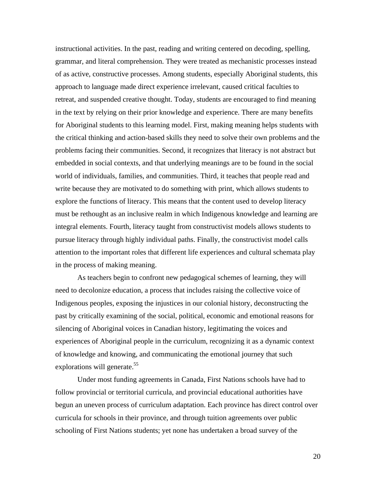instructional activities. In the past, reading and writing centered on decoding, spelling, grammar, and literal comprehension. They were treated as mechanistic processes instead of as active, constructive processes. Among students, especially Aboriginal students, this approach to language made direct experience irrelevant, caused critical faculties to retreat, and suspended creative thought. Today, students are encouraged to find meaning in the text by relying on their prior knowledge and experience. There are many benefits for Aboriginal students to this learning model. First, making meaning helps students with the critical thinking and action-based skills they need to solve their own problems and the problems facing their communities. Second, it recognizes that literacy is not abstract but embedded in social contexts, and that underlying meanings are to be found in the social world of individuals, families, and communities. Third, it teaches that people read and write because they are motivated to do something with print, which allows students to explore the functions of literacy. This means that the content used to develop literacy must be rethought as an inclusive realm in which Indigenous knowledge and learning are integral elements. Fourth, literacy taught from constructivist models allows students to pursue literacy through highly individual paths. Finally, the constructivist model calls attention to the important roles that different life experiences and cultural schemata play in the process of making meaning.

As teachers begin to confront new pedagogical schemes of learning, they will need to decolonize education, a process that includes raising the collective voice of Indigenous peoples, exposing the injustices in our colonial history, deconstructing the past by critically examining of the social, political, economic and emotional reasons for silencing of Aboriginal voices in Canadian history, legitimating the voices and experiences of Aboriginal people in the curriculum, recognizing it as a dynamic context of knowledge and knowing, and communicating the emotional journey that such explorations will generate.<sup>55</sup>

Under most funding agreements in Canada, First Nations schools have had to follow provincial or territorial curricula, and provincial educational authorities have begun an uneven process of curriculum adaptation. Each province has direct control over curricula for schools in their province, and through tuition agreements over public schooling of First Nations students; yet none has undertaken a broad survey of the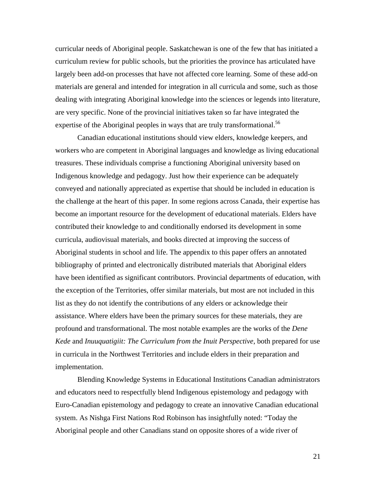curricular needs of Aboriginal people. Saskatchewan is one of the few that has initiated a curriculum review for public schools, but the priorities the province has articulated have largely been add-on processes that have not affected core learning. Some of these add-on materials are general and intended for integration in all curricula and some, such as those dealing with integrating Aboriginal knowledge into the sciences or legends into literature, are very specific. None of the provincial initiatives taken so far have integrated the expertise of the Aboriginal peoples in ways that are truly transformational.<sup>56</sup>

Canadian educational institutions should view elders, knowledge keepers, and workers who are competent in Aboriginal languages and knowledge as living educational treasures. These individuals comprise a functioning Aboriginal university based on Indigenous knowledge and pedagogy. Just how their experience can be adequately conveyed and nationally appreciated as expertise that should be included in education is the challenge at the heart of this paper. In some regions across Canada, their expertise has become an important resource for the development of educational materials. Elders have contributed their knowledge to and conditionally endorsed its development in some curricula, audiovisual materials, and books directed at improving the success of Aboriginal students in school and life. The appendix to this paper offers an annotated bibliography of printed and electronically distributed materials that Aboriginal elders have been identified as significant contributors. Provincial departments of education, with the exception of the Territories, offer similar materials, but most are not included in this list as they do not identify the contributions of any elders or acknowledge their assistance. Where elders have been the primary sources for these materials, they are profound and transformational. The most notable examples are the works of the *Dene Kede* and *Inuuquatigiit: The Curriculum from the Inuit Perspective*, both prepared for use in curricula in the Northwest Territories and include elders in their preparation and implementation.

Blending Knowledge Systems in Educational Institutions Canadian administrators and educators need to respectfully blend Indigenous epistemology and pedagogy with Euro-Canadian epistemology and pedagogy to create an innovative Canadian educational system. As Nishga First Nations Rod Robinson has insightfully noted: "Today the Aboriginal people and other Canadians stand on opposite shores of a wide river of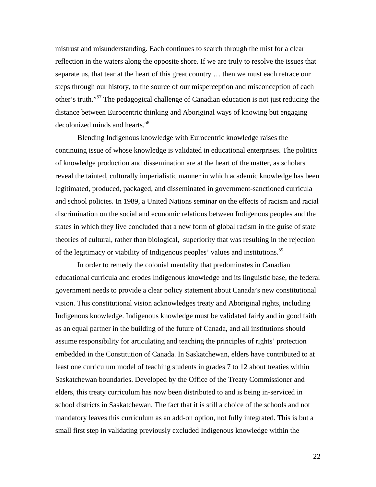mistrust and misunderstanding. Each continues to search through the mist for a clear reflection in the waters along the opposite shore. If we are truly to resolve the issues that separate us, that tear at the heart of this great country … then we must each retrace our steps through our history, to the source of our misperception and misconception of each other's truth."<sup>57</sup> The pedagogical challenge of Canadian education is not just reducing the distance between Eurocentric thinking and Aboriginal ways of knowing but engaging decolonized minds and hearts.<sup>58</sup>

Blending Indigenous knowledge with Eurocentric knowledge raises the continuing issue of whose knowledge is validated in educational enterprises. The politics of knowledge production and dissemination are at the heart of the matter, as scholars reveal the tainted, culturally imperialistic manner in which academic knowledge has been legitimated, produced, packaged, and disseminated in government-sanctioned curricula and school policies. In 1989, a United Nations seminar on the effects of racism and racial discrimination on the social and economic relations between Indigenous peoples and the states in which they live concluded that a new form of global racism in the guise of state theories of cultural, rather than biological, superiority that was resulting in the rejection of the legitimacy or viability of Indigenous peoples' values and institutions.<sup>59</sup>

In order to remedy the colonial mentality that predominates in Canadian educational curricula and erodes Indigenous knowledge and its linguistic base, the federal government needs to provide a clear policy statement about Canada's new constitutional vision. This constitutional vision acknowledges treaty and Aboriginal rights, including Indigenous knowledge. Indigenous knowledge must be validated fairly and in good faith as an equal partner in the building of the future of Canada, and all institutions should assume responsibility for articulating and teaching the principles of rights' protection embedded in the Constitution of Canada. In Saskatchewan, elders have contributed to at least one curriculum model of teaching students in grades 7 to 12 about treaties within Saskatchewan boundaries. Developed by the Office of the Treaty Commissioner and elders, this treaty curriculum has now been distributed to and is being in-serviced in school districts in Saskatchewan. The fact that it is still a choice of the schools and not mandatory leaves this curriculum as an add-on option, not fully integrated. This is but a small first step in validating previously excluded Indigenous knowledge within the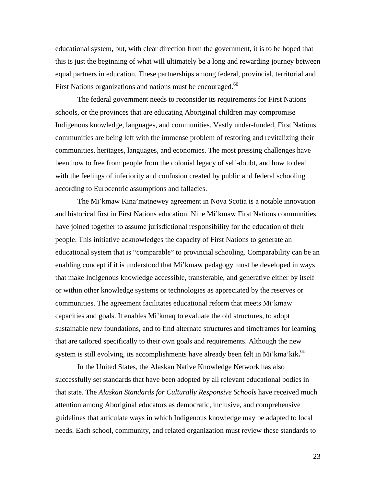educational system, but, with clear direction from the government, it is to be hoped that this is just the beginning of what will ultimately be a long and rewarding journey between equal partners in education. These partnerships among federal, provincial, territorial and First Nations organizations and nations must be encouraged. $60$ 

The federal government needs to reconsider its requirements for First Nations schools, or the provinces that are educating Aboriginal children may compromise Indigenous knowledge, languages, and communities. Vastly under-funded, First Nations communities are being left with the immense problem of restoring and revitalizing their communities, heritages, languages, and economies. The most pressing challenges have been how to free from people from the colonial legacy of self-doubt, and how to deal with the feelings of inferiority and confusion created by public and federal schooling according to Eurocentric assumptions and fallacies.

The Mi'kmaw Kina'matnewey agreement in Nova Scotia is a notable innovation and historical first in First Nations education. Nine Mi'kmaw First Nations communities have joined together to assume jurisdictional responsibility for the education of their people. This initiative acknowledges the capacity of First Nations to generate an educational system that is "comparable" to provincial schooling. Comparability can be an enabling concept if it is understood that Mi'kmaw pedagogy must be developed in ways that make Indigenous knowledge accessible, transferable, and generative either by itself or within other knowledge systems or technologies as appreciated by the reserves or communities. The agreement facilitates educational reform that meets Mi'kmaw capacities and goals. It enables Mi'kmaq to evaluate the old structures, to adopt sustainable new foundations, and to find alternate structures and timeframes for learning that are tailored specifically to their own goals and requirements. Although the new system is still evolving, its accomplishments have already been felt in Mi'kma'kik**. 61**

In the United States, the Alaskan Native Knowledge Network has also successfully set standards that have been adopted by all relevant educational bodies in that state. The *Alaskan Standards for Culturally Responsive Schools* have received much attention among Aboriginal educators as democratic, inclusive, and comprehensive guidelines that articulate ways in which Indigenous knowledge may be adapted to local needs. Each school, community, and related organization must review these standards to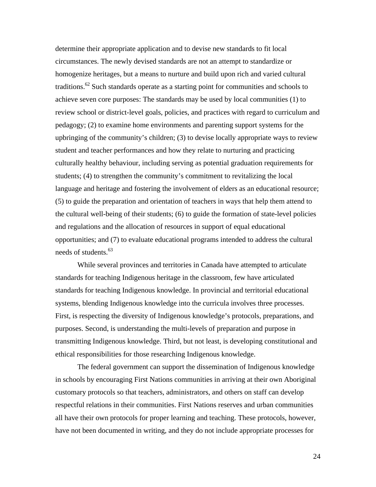determine their appropriate application and to devise new standards to fit local circumstances. The newly devised standards are not an attempt to standardize or homogenize heritages, but a means to nurture and build upon rich and varied cultural traditions.<sup>62</sup> Such standards operate as a starting point for communities and schools to achieve seven core purposes: The standards may be used by local communities (1) to review school or district-level goals, policies, and practices with regard to curriculum and pedagogy; (2) to examine home environments and parenting support systems for the upbringing of the community's children; (3) to devise locally appropriate ways to review student and teacher performances and how they relate to nurturing and practicing culturally healthy behaviour, including serving as potential graduation requirements for students; (4) to strengthen the community's commitment to revitalizing the local language and heritage and fostering the involvement of elders as an educational resource; (5) to guide the preparation and orientation of teachers in ways that help them attend to the cultural well-being of their students; (6) to guide the formation of state-level policies and regulations and the allocation of resources in support of equal educational opportunities; and (7) to evaluate educational programs intended to address the cultural needs of students.<sup>63</sup>

While several provinces and territories in Canada have attempted to articulate standards for teaching Indigenous heritage in the classroom, few have articulated standards for teaching Indigenous knowledge. In provincial and territorial educational systems, blending Indigenous knowledge into the curricula involves three processes. First, is respecting the diversity of Indigenous knowledge's protocols, preparations, and purposes. Second, is understanding the multi-levels of preparation and purpose in transmitting Indigenous knowledge. Third, but not least, is developing constitutional and ethical responsibilities for those researching Indigenous knowledge.

The federal government can support the dissemination of Indigenous knowledge in schools by encouraging First Nations communities in arriving at their own Aboriginal customary protocols so that teachers, administrators, and others on staff can develop respectful relations in their communities. First Nations reserves and urban communities all have their own protocols for proper learning and teaching. These protocols, however, have not been documented in writing, and they do not include appropriate processes for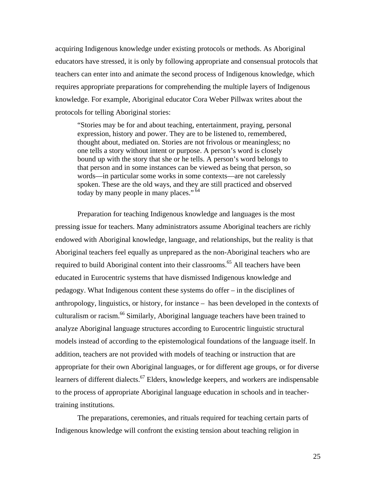acquiring Indigenous knowledge under existing protocols or methods. As Aboriginal educators have stressed, it is only by following appropriate and consensual protocols that teachers can enter into and animate the second process of Indigenous knowledge, which requires appropriate preparations for comprehending the multiple layers of Indigenous knowledge. For example, Aboriginal educator Cora Weber Pillwax writes about the protocols for telling Aboriginal stories:

"Stories may be for and about teaching, entertainment, praying, personal expression, history and power. They are to be listened to, remembered, thought about, mediated on. Stories are not frivolous or meaningless; no one tells a story without intent or purpose. A person's word is closely bound up with the story that she or he tells. A person's word belongs to that person and in some instances can be viewed as being that person, so words—in particular some works in some contexts—are not carelessly spoken. These are the old ways, and they are still practiced and observed today by many people in many places." $64$ 

Preparation for teaching Indigenous knowledge and languages is the most pressing issue for teachers. Many administrators assume Aboriginal teachers are richly endowed with Aboriginal knowledge, language, and relationships, but the reality is that Aboriginal teachers feel equally as unprepared as the non-Aboriginal teachers who are required to build Aboriginal content into their classrooms.<sup>65</sup> All teachers have been educated in Eurocentric systems that have dismissed Indigenous knowledge and pedagogy. What Indigenous content these systems do offer – in the disciplines of anthropology, linguistics, or history, for instance – has been developed in the contexts of culturalism or racism.<sup>66</sup> Similarly, Aboriginal language teachers have been trained to analyze Aboriginal language structures according to Eurocentric linguistic structural models instead of according to the epistemological foundations of the language itself. In addition, teachers are not provided with models of teaching or instruction that are appropriate for their own Aboriginal languages, or for different age groups, or for diverse learners of different dialects.<sup>67</sup> Elders, knowledge keepers, and workers are indispensable to the process of appropriate Aboriginal language education in schools and in teachertraining institutions.

The preparations, ceremonies, and rituals required for teaching certain parts of Indigenous knowledge will confront the existing tension about teaching religion in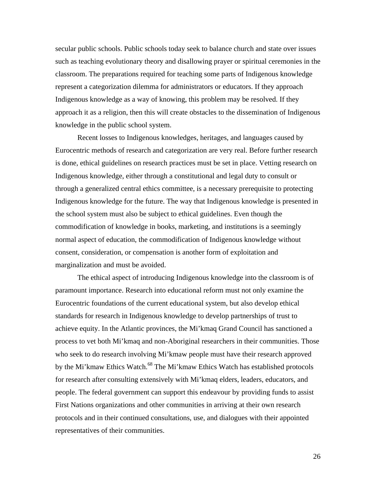secular public schools. Public schools today seek to balance church and state over issues such as teaching evolutionary theory and disallowing prayer or spiritual ceremonies in the classroom. The preparations required for teaching some parts of Indigenous knowledge represent a categorization dilemma for administrators or educators. If they approach Indigenous knowledge as a way of knowing, this problem may be resolved. If they approach it as a religion, then this will create obstacles to the dissemination of Indigenous knowledge in the public school system.

Recent losses to Indigenous knowledges, heritages, and languages caused by Eurocentric methods of research and categorization are very real. Before further research is done, ethical guidelines on research practices must be set in place. Vetting research on Indigenous knowledge, either through a constitutional and legal duty to consult or through a generalized central ethics committee, is a necessary prerequisite to protecting Indigenous knowledge for the future. The way that Indigenous knowledge is presented in the school system must also be subject to ethical guidelines. Even though the commodification of knowledge in books, marketing, and institutions is a seemingly normal aspect of education, the commodification of Indigenous knowledge without consent, consideration, or compensation is another form of exploitation and marginalization and must be avoided.

The ethical aspect of introducing Indigenous knowledge into the classroom is of paramount importance. Research into educational reform must not only examine the Eurocentric foundations of the current educational system, but also develop ethical standards for research in Indigenous knowledge to develop partnerships of trust to achieve equity. In the Atlantic provinces, the Mi'kmaq Grand Council has sanctioned a process to vet both Mi'kmaq and non-Aboriginal researchers in their communities. Those who seek to do research involving Mi'kmaw people must have their research approved by the Mi'kmaw Ethics Watch.<sup>68</sup> The Mi'kmaw Ethics Watch has established protocols for research after consulting extensively with Mi'kmaq elders, leaders, educators, and people. The federal government can support this endeavour by providing funds to assist First Nations organizations and other communities in arriving at their own research protocols and in their continued consultations, use, and dialogues with their appointed representatives of their communities.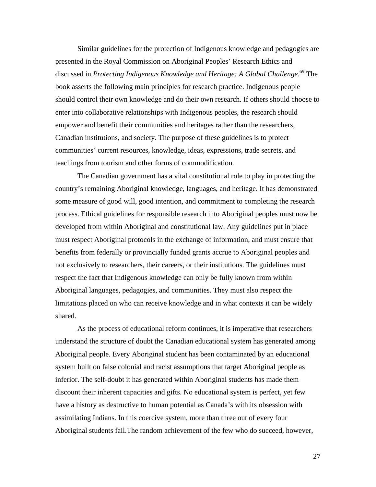Similar guidelines for the protection of Indigenous knowledge and pedagogies are presented in the Royal Commission on Aboriginal Peoples' Research Ethics and discussed in *Protecting Indigenous Knowledge and Heritage: A Global Challenge*. <sup>69</sup> The book asserts the following main principles for research practice. Indigenous people should control their own knowledge and do their own research. If others should choose to enter into collaborative relationships with Indigenous peoples, the research should empower and benefit their communities and heritages rather than the researchers, Canadian institutions, and society. The purpose of these guidelines is to protect communities' current resources, knowledge, ideas, expressions, trade secrets, and teachings from tourism and other forms of commodification.

The Canadian government has a vital constitutional role to play in protecting the country's remaining Aboriginal knowledge, languages, and heritage. It has demonstrated some measure of good will, good intention, and commitment to completing the research process. Ethical guidelines for responsible research into Aboriginal peoples must now be developed from within Aboriginal and constitutional law. Any guidelines put in place must respect Aboriginal protocols in the exchange of information, and must ensure that benefits from federally or provincially funded grants accrue to Aboriginal peoples and not exclusively to researchers, their careers, or their institutions. The guidelines must respect the fact that Indigenous knowledge can only be fully known from within Aboriginal languages, pedagogies, and communities. They must also respect the limitations placed on who can receive knowledge and in what contexts it can be widely shared.

As the process of educational reform continues, it is imperative that researchers understand the structure of doubt the Canadian educational system has generated among Aboriginal people. Every Aboriginal student has been contaminated by an educational system built on false colonial and racist assumptions that target Aboriginal people as inferior. The self-doubt it has generated within Aboriginal students has made them discount their inherent capacities and gifts. No educational system is perfect, yet few have a history as destructive to human potential as Canada's with its obsession with assimilating Indians. In this coercive system, more than three out of every four Aboriginal students fail.The random achievement of the few who do succeed, however,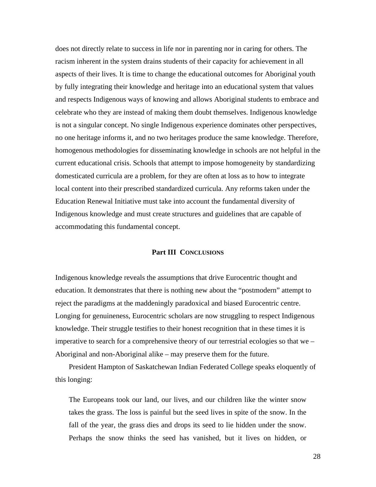does not directly relate to success in life nor in parenting nor in caring for others. The racism inherent in the system drains students of their capacity for achievement in all aspects of their lives. It is time to change the educational outcomes for Aboriginal youth by fully integrating their knowledge and heritage into an educational system that values and respects Indigenous ways of knowing and allows Aboriginal students to embrace and celebrate who they are instead of making them doubt themselves. Indigenous knowledge is not a singular concept. No single Indigenous experience dominates other perspectives, no one heritage informs it, and no two heritages produce the same knowledge. Therefore, homogenous methodologies for disseminating knowledge in schools are not helpful in the current educational crisis. Schools that attempt to impose homogeneity by standardizing domesticated curricula are a problem, for they are often at loss as to how to integrate local content into their prescribed standardized curricula. Any reforms taken under the Education Renewal Initiative must take into account the fundamental diversity of Indigenous knowledge and must create structures and guidelines that are capable of accommodating this fundamental concept.

#### **Part III CONCLUSIONS**

Indigenous knowledge reveals the assumptions that drive Eurocentric thought and education. It demonstrates that there is nothing new about the "postmodern" attempt to reject the paradigms at the maddeningly paradoxical and biased Eurocentric centre. Longing for genuineness, Eurocentric scholars are now struggling to respect Indigenous knowledge. Their struggle testifies to their honest recognition that in these times it is imperative to search for a comprehensive theory of our terrestrial ecologies so that we – Aboriginal and non-Aboriginal alike – may preserve them for the future.

President Hampton of Saskatchewan Indian Federated College speaks eloquently of this longing:

The Europeans took our land, our lives, and our children like the winter snow takes the grass. The loss is painful but the seed lives in spite of the snow. In the fall of the year, the grass dies and drops its seed to lie hidden under the snow. Perhaps the snow thinks the seed has vanished, but it lives on hidden, or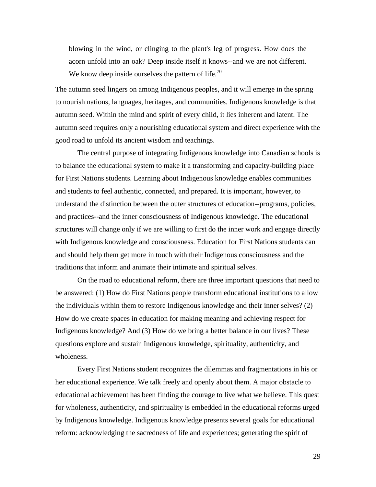blowing in the wind, or clinging to the plant's leg of progress. How does the acorn unfold into an oak? Deep inside itself it knows--and we are not different. We know deep inside ourselves the pattern of life.<sup>70</sup>

The autumn seed lingers on among Indigenous peoples, and it will emerge in the spring to nourish nations, languages, heritages, and communities. Indigenous knowledge is that autumn seed. Within the mind and spirit of every child, it lies inherent and latent. The autumn seed requires only a nourishing educational system and direct experience with the good road to unfold its ancient wisdom and teachings.

The central purpose of integrating Indigenous knowledge into Canadian schools is to balance the educational system to make it a transforming and capacity-building place for First Nations students. Learning about Indigenous knowledge enables communities and students to feel authentic, connected, and prepared. It is important, however, to understand the distinction between the outer structures of education--programs, policies, and practices--and the inner consciousness of Indigenous knowledge. The educational structures will change only if we are willing to first do the inner work and engage directly with Indigenous knowledge and consciousness. Education for First Nations students can and should help them get more in touch with their Indigenous consciousness and the traditions that inform and animate their intimate and spiritual selves.

On the road to educational reform, there are three important questions that need to be answered: (1) How do First Nations people transform educational institutions to allow the individuals within them to restore Indigenous knowledge and their inner selves? (2) How do we create spaces in education for making meaning and achieving respect for Indigenous knowledge? And (3) How do we bring a better balance in our lives? These questions explore and sustain Indigenous knowledge, spirituality, authenticity, and wholeness.

Every First Nations student recognizes the dilemmas and fragmentations in his or her educational experience. We talk freely and openly about them. A major obstacle to educational achievement has been finding the courage to live what we believe. This quest for wholeness, authenticity, and spirituality is embedded in the educational reforms urged by Indigenous knowledge. Indigenous knowledge presents several goals for educational reform: acknowledging the sacredness of life and experiences; generating the spirit of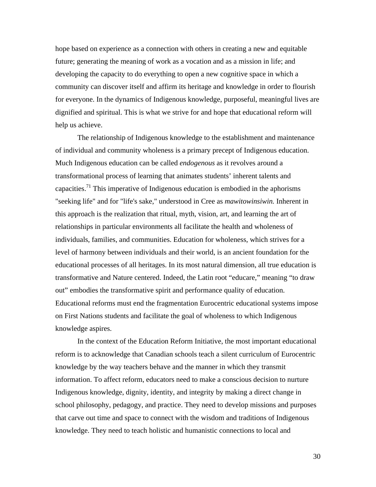hope based on experience as a connection with others in creating a new and equitable future; generating the meaning of work as a vocation and as a mission in life; and developing the capacity to do everything to open a new cognitive space in which a community can discover itself and affirm its heritage and knowledge in order to flourish for everyone. In the dynamics of Indigenous knowledge, purposeful, meaningful lives are dignified and spiritual. This is what we strive for and hope that educational reform will help us achieve.

The relationship of Indigenous knowledge to the establishment and maintenance of individual and community wholeness is a primary precept of Indigenous education. Much Indigenous education can be called *endogenous* as it revolves around a transformational process of learning that animates students' inherent talents and capacities.<sup>71</sup> This imperative of Indigenous education is embodied in the aphorisms "seeking life" and for "life's sake," understood in Cree as *mawitowinsiwin.* Inherent in this approach is the realization that ritual, myth, vision, art, and learning the art of relationships in particular environments all facilitate the health and wholeness of individuals, families, and communities. Education for wholeness, which strives for a level of harmony between individuals and their world, is an ancient foundation for the educational processes of all heritages. In its most natural dimension, all true education is transformative and Nature centered. Indeed, the Latin root "educare," meaning "to draw out" embodies the transformative spirit and performance quality of education. Educational reforms must end the fragmentation Eurocentric educational systems impose on First Nations students and facilitate the goal of wholeness to which Indigenous knowledge aspires.

In the context of the Education Reform Initiative, the most important educational reform is to acknowledge that Canadian schools teach a silent curriculum of Eurocentric knowledge by the way teachers behave and the manner in which they transmit information. To affect reform, educators need to make a conscious decision to nurture Indigenous knowledge, dignity, identity, and integrity by making a direct change in school philosophy, pedagogy, and practice. They need to develop missions and purposes that carve out time and space to connect with the wisdom and traditions of Indigenous knowledge. They need to teach holistic and humanistic connections to local and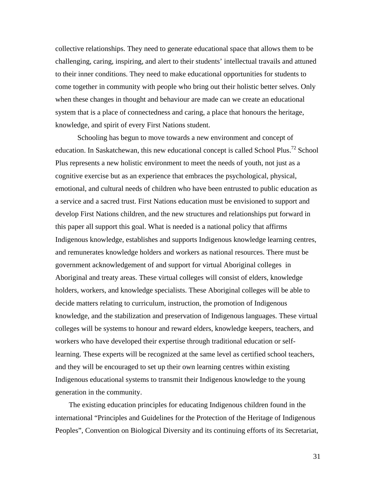collective relationships. They need to generate educational space that allows them to be challenging, caring, inspiring, and alert to their students' intellectual travails and attuned to their inner conditions. They need to make educational opportunities for students to come together in community with people who bring out their holistic better selves. Only when these changes in thought and behaviour are made can we create an educational system that is a place of connectedness and caring, a place that honours the heritage, knowledge, and spirit of every First Nations student.

Schooling has begun to move towards a new environment and concept of education. In Saskatchewan, this new educational concept is called School Plus.<sup>72</sup> School Plus represents a new holistic environment to meet the needs of youth, not just as a cognitive exercise but as an experience that embraces the psychological, physical, emotional, and cultural needs of children who have been entrusted to public education as a service and a sacred trust. First Nations education must be envisioned to support and develop First Nations children, and the new structures and relationships put forward in this paper all support this goal. What is needed is a national policy that affirms Indigenous knowledge, establishes and supports Indigenous knowledge learning centres, and remunerates knowledge holders and workers as national resources. There must be government acknowledgement of and support for virtual Aboriginal colleges in Aboriginal and treaty areas. These virtual colleges will consist of elders, knowledge holders, workers, and knowledge specialists. These Aboriginal colleges will be able to decide matters relating to curriculum, instruction, the promotion of Indigenous knowledge, and the stabilization and preservation of Indigenous languages. These virtual colleges will be systems to honour and reward elders, knowledge keepers, teachers, and workers who have developed their expertise through traditional education or selflearning. These experts will be recognized at the same level as certified school teachers, and they will be encouraged to set up their own learning centres within existing Indigenous educational systems to transmit their Indigenous knowledge to the young generation in the community.

The existing education principles for educating Indigenous children found in the international "Principles and Guidelines for the Protection of the Heritage of Indigenous Peoples", Convention on Biological Diversity and its continuing efforts of its Secretariat,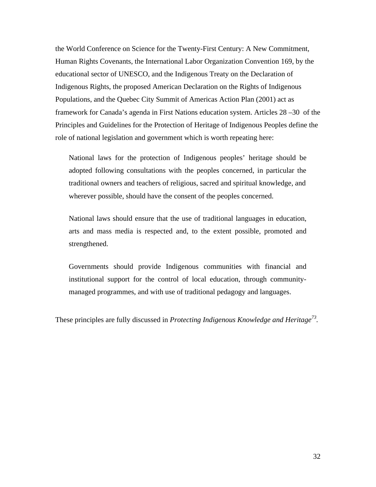the World Conference on Science for the Twenty-First Century: A New Commitment*,* Human Rights Covenants, the International Labor Organization Convention 169, by the educational sector of UNESCO, and the Indigenous Treaty on the Declaration of Indigenous Rights, the proposed American Declaration on the Rights of Indigenous Populations, and the Quebec City Summit of Americas Action Plan (2001) act as framework for Canada's agenda in First Nations education system. Articles 28 –30 of the Principles and Guidelines for the Protection of Heritage of Indigenous Peoples define the role of national legislation and government which is worth repeating here:

National laws for the protection of Indigenous peoples' heritage should be adopted following consultations with the peoples concerned, in particular the traditional owners and teachers of religious, sacred and spiritual knowledge, and wherever possible, should have the consent of the peoples concerned.

National laws should ensure that the use of traditional languages in education, arts and mass media is respected and, to the extent possible, promoted and strengthened.

Governments should provide Indigenous communities with financial and institutional support for the control of local education, through communitymanaged programmes, and with use of traditional pedagogy and languages.

These principles are fully discussed in *Protecting Indigenous Knowledge and Heritage<sup>73</sup> .*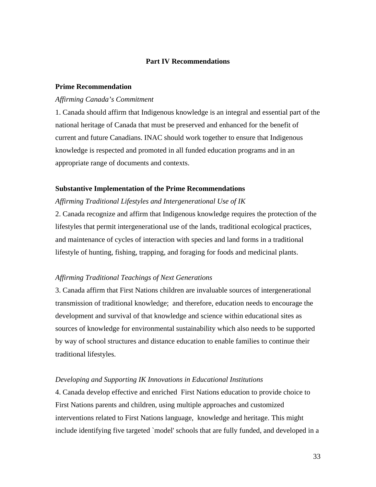#### **Part IV Recommendations**

#### **Prime Recommendation**

#### *Affirming Canada's Commitment*

1. Canada should affirm that Indigenous knowledge is an integral and essential part of the national heritage of Canada that must be preserved and enhanced for the benefit of current and future Canadians. INAC should work together to ensure that Indigenous knowledge is respected and promoted in all funded education programs and in an appropriate range of documents and contexts.

#### **Substantive Implementation of the Prime Recommendations**

#### *Affirming Traditional Lifestyles and Intergenerational Use of IK*

2. Canada recognize and affirm that Indigenous knowledge requires the protection of the lifestyles that permit intergenerational use of the lands, traditional ecological practices, and maintenance of cycles of interaction with species and land forms in a traditional lifestyle of hunting, fishing, trapping, and foraging for foods and medicinal plants.

#### *Affirming Traditional Teachings of Next Generations*

3. Canada affirm that First Nations children are invaluable sources of intergenerational transmission of traditional knowledge; and therefore, education needs to encourage the development and survival of that knowledge and science within educational sites as sources of knowledge for environmental sustainability which also needs to be supported by way of school structures and distance education to enable families to continue their traditional lifestyles.

#### *Developing and Supporting IK Innovations in Educational Institutions*

4. Canada develop effective and enriched First Nations education to provide choice to First Nations parents and children, using multiple approaches and customized interventions related to First Nations language, knowledge and heritage. This might include identifying five targeted `model' schools that are fully funded, and developed in a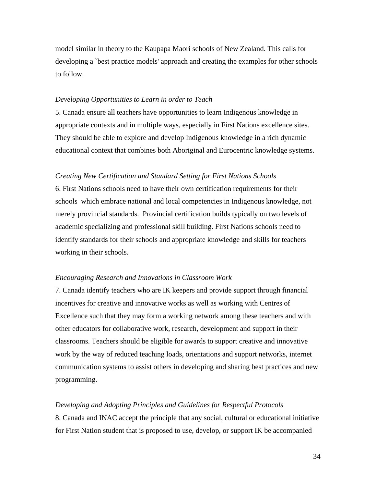model similar in theory to the Kaupapa Maori schools of New Zealand. This calls for developing a `best practice models' approach and creating the examples for other schools to follow.

#### *Developing Opportunities to Learn in order to Teach*

5. Canada ensure all teachers have opportunities to learn Indigenous knowledge in appropriate contexts and in multiple ways, especially in First Nations excellence sites. They should be able to explore and develop Indigenous knowledge in a rich dynamic educational context that combines both Aboriginal and Eurocentric knowledge systems.

#### *Creating New Certification and Standard Setting for First Nations Schools*

6. First Nations schools need to have their own certification requirements for their schools which embrace national and local competencies in Indigenous knowledge, not merely provincial standards. Provincial certification builds typically on two levels of academic specializing and professional skill building. First Nations schools need to identify standards for their schools and appropriate knowledge and skills for teachers working in their schools.

#### *Encouraging Research and Innovations in Classroom Work*

7. Canada identify teachers who are IK keepers and provide support through financial incentives for creative and innovative works as well as working with Centres of Excellence such that they may form a working network among these teachers and with other educators for collaborative work, research, development and support in their classrooms. Teachers should be eligible for awards to support creative and innovative work by the way of reduced teaching loads, orientations and support networks, internet communication systems to assist others in developing and sharing best practices and new programming.

#### *Developing and Adopting Principles and Guidelines for Respectful Protocols*

8. Canada and INAC accept the principle that any social, cultural or educational initiative for First Nation student that is proposed to use, develop, or support IK be accompanied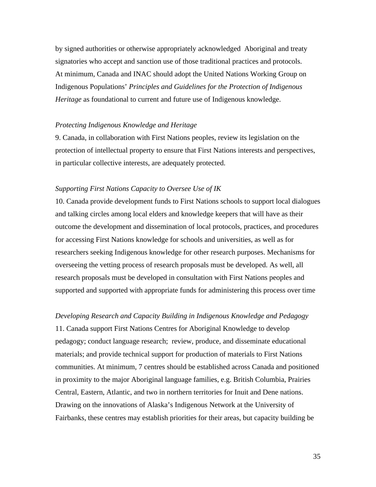by signed authorities or otherwise appropriately acknowledged Aboriginal and treaty signatories who accept and sanction use of those traditional practices and protocols. At minimum, Canada and INAC should adopt the United Nations Working Group on Indigenous Populations' *Principles and Guidelines for the Protection of Indigenous Heritage* as foundational to current and future use of Indigenous knowledge.

#### *Protecting Indigenous Knowledge and Heritage*

9. Canada, in collaboration with First Nations peoples, review its legislation on the protection of intellectual property to ensure that First Nations interests and perspectives, in particular collective interests, are adequately protected.

#### *Supporting First Nations Capacity to Oversee Use of IK*

10. Canada provide development funds to First Nations schools to support local dialogues and talking circles among local elders and knowledge keepers that will have as their outcome the development and dissemination of local protocols, practices, and procedures for accessing First Nations knowledge for schools and universities, as well as for researchers seeking Indigenous knowledge for other research purposes. Mechanisms for overseeing the vetting process of research proposals must be developed. As well, all research proposals must be developed in consultation with First Nations peoples and supported and supported with appropriate funds for administering this process over time

*Developing Research and Capacity Building in Indigenous Knowledge and Pedagogy* 11. Canada support First Nations Centres for Aboriginal Knowledge to develop pedagogy; conduct language research; review, produce, and disseminate educational materials; and provide technical support for production of materials to First Nations communities. At minimum, 7 centres should be established across Canada and positioned in proximity to the major Aboriginal language families, e.g. British Columbia, Prairies Central, Eastern, Atlantic, and two in northern territories for Inuit and Dene nations. Drawing on the innovations of Alaska's Indigenous Network at the University of Fairbanks, these centres may establish priorities for their areas, but capacity building be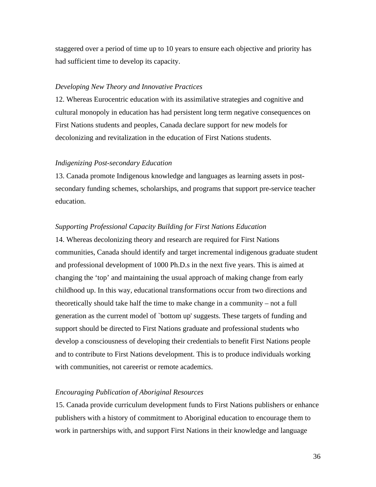staggered over a period of time up to 10 years to ensure each objective and priority has had sufficient time to develop its capacity.

#### *Developing New Theory and Innovative Practices*

12. Whereas Eurocentric education with its assimilative strategies and cognitive and cultural monopoly in education has had persistent long term negative consequences on First Nations students and peoples, Canada declare support for new models for decolonizing and revitalization in the education of First Nations students.

#### *Indigenizing Post-secondary Education*

13. Canada promote Indigenous knowledge and languages as learning assets in postsecondary funding schemes, scholarships, and programs that support pre-service teacher education.

#### *Supporting Professional Capacity Building for First Nations Education*

14. Whereas decolonizing theory and research are required for First Nations communities, Canada should identify and target incremental indigenous graduate student and professional development of 1000 Ph.D.s in the next five years. This is aimed at changing the 'top' and maintaining the usual approach of making change from early childhood up. In this way, educational transformations occur from two directions and theoretically should take half the time to make change in a community – not a full generation as the current model of `bottom up' suggests. These targets of funding and support should be directed to First Nations graduate and professional students who develop a consciousness of developing their credentials to benefit First Nations people and to contribute to First Nations development. This is to produce individuals working with communities, not careerist or remote academics.

#### *Encouraging Publication of Aboriginal Resources*

15. Canada provide curriculum development funds to First Nations publishers or enhance publishers with a history of commitment to Aboriginal education to encourage them to work in partnerships with, and support First Nations in their knowledge and language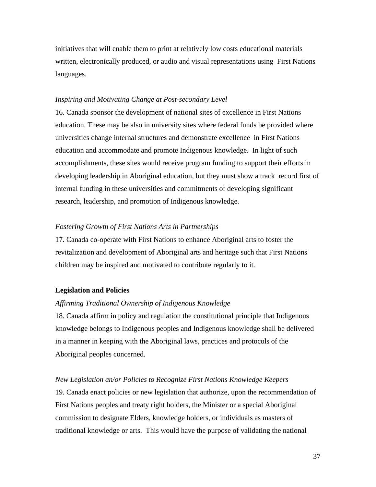initiatives that will enable them to print at relatively low costs educational materials written, electronically produced, or audio and visual representations using First Nations languages.

#### *Inspiring and Motivating Change at Post-secondary Level*

16. Canada sponsor the development of national sites of excellence in First Nations education. These may be also in university sites where federal funds be provided where universities change internal structures and demonstrate excellence in First Nations education and accommodate and promote Indigenous knowledge. In light of such accomplishments, these sites would receive program funding to support their efforts in developing leadership in Aboriginal education, but they must show a track record first of internal funding in these universities and commitments of developing significant research, leadership, and promotion of Indigenous knowledge.

#### *Fostering Growth of First Nations Arts in Partnerships*

17. Canada co-operate with First Nations to enhance Aboriginal arts to foster the revitalization and development of Aboriginal arts and heritage such that First Nations children may be inspired and motivated to contribute regularly to it.

#### **Legislation and Policies**

#### *Affirming Traditional Ownership of Indigenous Knowledge*

18. Canada affirm in policy and regulation the constitutional principle that Indigenous knowledge belongs to Indigenous peoples and Indigenous knowledge shall be delivered in a manner in keeping with the Aboriginal laws, practices and protocols of the Aboriginal peoples concerned.

#### *New Legislation an/or Policies to Recognize First Nations Knowledge Keepers*

19. Canada enact policies or new legislation that authorize, upon the recommendation of First Nations peoples and treaty right holders, the Minister or a special Aboriginal commission to designate Elders, knowledge holders, or individuals as masters of traditional knowledge or arts. This would have the purpose of validating the national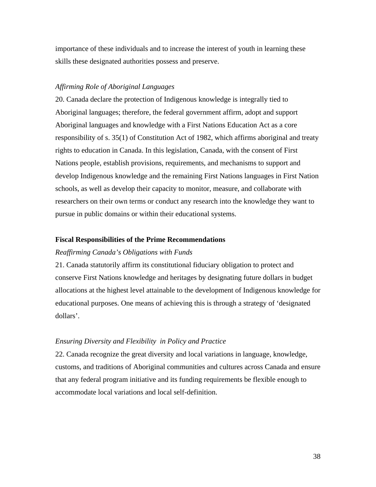importance of these individuals and to increase the interest of youth in learning these skills these designated authorities possess and preserve.

#### *Affirming Role of Aboriginal Languages*

20. Canada declare the protection of Indigenous knowledge is integrally tied to Aboriginal languages; therefore, the federal government affirm, adopt and support Aboriginal languages and knowledge with a First Nations Education Act as a core responsibility of s. 35(1) of Constitution Act of 1982, which affirms aboriginal and treaty rights to education in Canada. In this legislation, Canada, with the consent of First Nations people, establish provisions, requirements, and mechanisms to support and develop Indigenous knowledge and the remaining First Nations languages in First Nation schools, as well as develop their capacity to monitor, measure, and collaborate with researchers on their own terms or conduct any research into the knowledge they want to pursue in public domains or within their educational systems.

#### **Fiscal Responsibilities of the Prime Recommendations**

#### *Reaffirming Canada's Obligations with Funds*

21. Canada statutorily affirm its constitutional fiduciary obligation to protect and conserve First Nations knowledge and heritages by designating future dollars in budget allocations at the highest level attainable to the development of Indigenous knowledge for educational purposes. One means of achieving this is through a strategy of 'designated dollars'.

#### *Ensuring Diversity and Flexibility in Policy and Practice*

22. Canada recognize the great diversity and local variations in language, knowledge, customs, and traditions of Aboriginal communities and cultures across Canada and ensure that any federal program initiative and its funding requirements be flexible enough to accommodate local variations and local self-definition.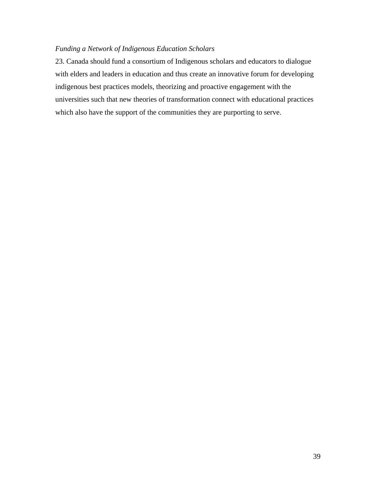## *Funding a Network of Indigenous Education Scholars*

23. Canada should fund a consortium of Indigenous scholars and educators to dialogue with elders and leaders in education and thus create an innovative forum for developing indigenous best practices models, theorizing and proactive engagement with the universities such that new theories of transformation connect with educational practices which also have the support of the communities they are purporting to serve.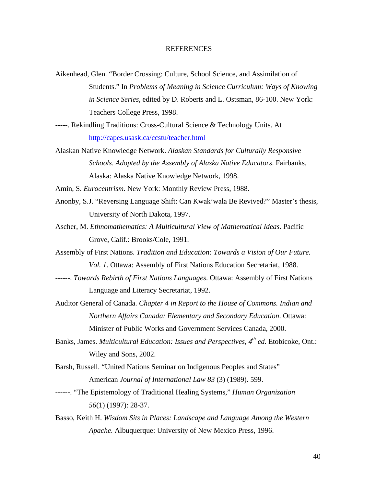#### REFERENCES

- Aikenhead, Glen. "Border Crossing: Culture, School Science, and Assimilation of Students." In *Problems of Meaning in Science Curriculum: Ways of Knowing in Science Series*, edited by D. Roberts and L. Ostsman, 86-100. New York: Teachers College Press, 1998.
- -----. Rekindling Traditions: Cross-Cultural Science & Technology Units. At <http://capes.usask.ca/ccstu/teacher.html>
- Alaskan Native Knowledge Network. *Alaskan Standards for Culturally Responsive Schools*. *Adopted by the Assembly of Alaska Native Educators*. Fairbanks, Alaska: Alaska Native Knowledge Network, 1998.
- Amin, S. *Eurocentrism*. New York: Monthly Review Press, 1988.
- Anonby, S.J. "Reversing Language Shift: Can Kwak'wala Be Revived?" Master's thesis, University of North Dakota, 1997.
- Ascher, M. *Ethnomathematics: A Multicultural View of Mathematical Ideas*. Pacific Grove, Calif.: Brooks/Cole, 1991.
- Assembly of First Nations. *Tradition and Education: Towards a Vision of Our Future. Vol. 1*. Ottawa: Assembly of First Nations Education Secretariat, 1988.
- ------. *Towards Rebirth of First Nations Languages*. Ottawa: Assembly of First Nations Language and Literacy Secretariat, 1992.
- Auditor General of Canada. *Chapter 4 in Report to the House of Commons. Indian and Northern Affairs Canada: Elementary and Secondary Education*. Ottawa: Minister of Public Works and Government Services Canada, 2000.
- Banks, James. *Multicultural Education: Issues and Perspectives*, *4 th ed.* Etobicoke, Ont.: Wiley and Sons, 2002.
- Barsh, Russell. "United Nations Seminar on Indigenous Peoples and States" American *Journal of International Law 83* (3) (1989). 599.
- ------. "The Epistemology of Traditional Healing Systems," *Human Organization 56*(1) (1997): 28-37.
- Basso, Keith H. *Wisdom Sits in Places: Landscape and Language Among the Western Apache.* Albuquerque: University of New Mexico Press, 1996.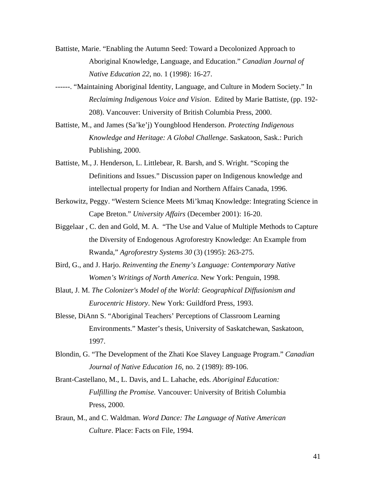- Battiste, Marie. "Enabling the Autumn Seed: Toward a Decolonized Approach to Aboriginal Knowledge, Language, and Education." *Canadian Journal of Native Education 22*, no. 1 (1998): 16-27.
- ------. "Maintaining Aboriginal Identity, Language, and Culture in Modern Society." In *Reclaiming Indigenous Voice and Vision*. Edited by Marie Battiste, (pp. 192- 208). Vancouver: University of British Columbia Press, 2000.
- Battiste, M., and James (Sa'ke'j) Youngblood Henderson. *Protecting Indigenous Knowledge and Heritage: A Global Challenge*. Saskatoon, Sask.: Purich Publishing, 2000.
- Battiste, M., J. Henderson, L. Littlebear, R. Barsh, and S. Wright. "Scoping the Definitions and Issues." Discussion paper on Indigenous knowledge and intellectual property for Indian and Northern Affairs Canada, 1996.
- Berkowitz, Peggy. "Western Science Meets Mi'kmaq Knowledge: Integrating Science in Cape Breton." *University Affairs* (December 2001): 16-20.
- Biggelaar , C. den and Gold, M. A. "The Use and Value of Multiple Methods to Capture the Diversity of Endogenous Agroforestry Knowledge: An Example from Rwanda," *Agroforestry Systems 30* (3) (1995): 263-275.
- Bird, G., and J. Harjo. *Reinventing the Enemy's Language: Contemporary Native Women's Writings of North America*. New York: Penguin, 1998.
- Blaut, J. M. *The Colonizer's Model of the World: Geographical Diffusionism and Eurocentric History*. New York: Guildford Press, 1993.
- Blesse, DiAnn S. "Aboriginal Teachers' Perceptions of Classroom Learning Environments." Master's thesis, University of Saskatchewan, Saskatoon, 1997.
- Blondin, G. "The Development of the Zhati Koe Slavey Language Program." *Canadian Journal of Native Education 16*, no. 2 (1989): 89-106.
- Brant-Castellano, M., L. Davis, and L. Lahache, eds. *Aboriginal Education: Fulfilling the Promise.* Vancouver: University of British Columbia Press, 2000.
- Braun, M., and C. Waldman. *Word Dance: The Language of Native American Culture*. Place: Facts on File, 1994.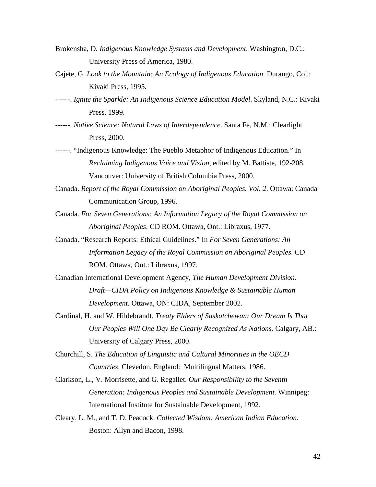- Brokensha, D. *Indigenous Knowledge Systems and Development*. Washington, D.C.: University Press of America, 1980.
- Cajete, G. *Look to the Mountain: An Ecology of Indigenous Education*. Durango, Col.: Kivaki Press, 1995.
- ------. *Ignite the Sparkle: An Indigenous Science Education Model*. Skyland, N.C.: Kivaki Press, 1999.
- ------. *Native Science: Natural Laws of Interdependence*. Santa Fe, N.M.: Clearlight Press, 2000.
- ------. "Indigenous Knowledge: The Pueblo Metaphor of Indigenous Education." In *Reclaiming Indigenous Voice and Vision*, edited by M. Battiste, 192-208. Vancouver: University of British Columbia Press, 2000.
- Canada. *Report of the Royal Commission on Aboriginal Peoples. Vol. 2*. Ottawa: Canada Communication Group, 1996.
- Canada. *For Seven Generations: An Information Legacy of the Royal Commission on Aboriginal Peoples*. CD ROM. Ottawa, Ont.: Libraxus, 1977.
- Canada. "Research Reports: Ethical Guidelines." In *For Seven Generations: An Information Legacy of the Royal Commission on Aboriginal Peoples*. CD ROM. Ottawa, Ont.: Libraxus, 1997.
- Canadian International Development Agency, *The Human Development Division. Draft—CIDA Policy on Indigenous Knowledge & Sustainable Human Development.* Ottawa, ON: CIDA, September 2002.
- Cardinal, H. and W. Hildebrandt. *Treaty Elders of Saskatchewan: Our Dream Is That Our Peoples Will One Day Be Clearly Recognized As Nations.* Calgary, AB.: University of Calgary Press, 2000.
- Churchill, S. *The Education of Linguistic and Cultural Minorities in the OECD Countries*. Clevedon, England: Multilingual Matters, 1986.
- Clarkson, L., V. Morrisette, and G. Regallet. *Our Responsibility to the Seventh Generation: Indigenous Peoples and Sustainable Development.* Winnipeg: International Institute for Sustainable Development, 1992.
- Cleary, L. M., and T. D. Peacock. *Collected Wisdom: American Indian Education*. Boston: Allyn and Bacon, 1998.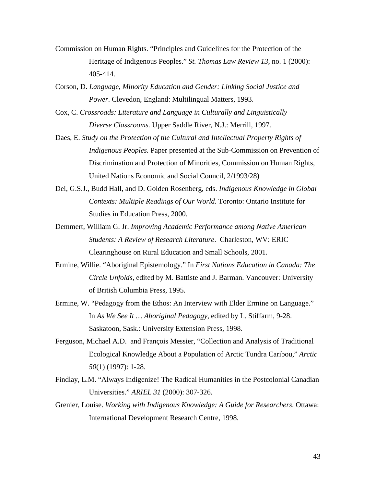- Commission on Human Rights. "Principles and Guidelines for the Protection of the Heritage of Indigenous Peoples." *St. Thomas Law Review 13*, no. 1 (2000): 405-414.
- Corson, D. *Language, Minority Education and Gender: Linking Social Justice and Power*. Clevedon, England: Multilingual Matters, 1993.
- Cox, C. *Crossroads: Literature and Language in Culturally and Linguistically Diverse Classrooms.* Upper Saddle River, N.J.: Merrill, 1997.
- Daes, E. *Study on the Protection of the Cultural and Intellectual Property Rights of Indigenous Peoples.* Paper presented at the Sub-Commission on Prevention of Discrimination and Protection of Minorities, Commission on Human Rights, United Nations Economic and Social Council, 2/1993/28)
- Dei, G.S.J., Budd Hall, and D. Golden Rosenberg, eds. *Indigenous Knowledge in Global Contexts: Multiple Readings of Our World*. Toronto: Ontario Institute for Studies in Education Press, 2000.
- Demmert, William G. Jr. *Improving Academic Performance among Native American Students: A Review of Research Literature*. Charleston, WV: ERIC Clearinghouse on Rural Education and Small Schools, 2001.
- Ermine, Willie. "Aboriginal Epistemology." In *First Nations Education in Canada: The Circle Unfolds*, edited by M. Battiste and J. Barman. Vancouver: University of British Columbia Press, 1995.
- Ermine, W. "Pedagogy from the Ethos: An Interview with Elder Ermine on Language." In *As We See It … Aboriginal Pedagogy*, edited by L. Stiffarm, 9-28. Saskatoon, Sask.: University Extension Press, 1998.
- Ferguson, Michael A.D. and François Messier, "Collection and Analysis of Traditional Ecological Knowledge About a Population of Arctic Tundra Caribou," *Arctic 50*(1) (1997): 1-28.
- Findlay, L.M. "Always Indigenize! The Radical Humanities in the Postcolonial Canadian Universities." *ARIEL 31* (2000): 307-326.
- Grenier, Louise. *Working with Indigenous Knowledge: A Guide for Researchers*. Ottawa: International Development Research Centre, 1998.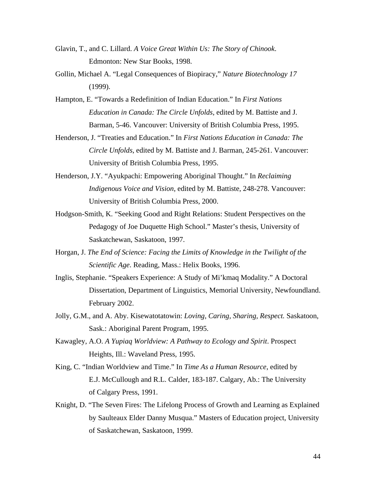- Glavin, T., and C. Lillard. *A Voice Great Within Us: The Story of Chinook*. Edmonton: New Star Books, 1998.
- Gollin, Michael A. "Legal Consequences of Biopiracy," *Nature Biotechnology 17* (1999).
- Hampton, E. "Towards a Redefinition of Indian Education." In *First Nations Education in Canada: The Circle Unfolds*, edited by M. Battiste and J. Barman, 5-46. Vancouver: University of British Columbia Press, 1995.
- Henderson, J. "Treaties and Education." In *First Nations Education in Canada: The Circle Unfolds*, edited by M. Battiste and J. Barman, 245-261. Vancouver: University of British Columbia Press, 1995.
- Henderson, J.Y. "Ayukpachi: Empowering Aboriginal Thought." In *Reclaiming Indigenous Voice and Vision*, edited by M. Battiste, 248-278. Vancouver: University of British Columbia Press, 2000.
- Hodgson-Smith, K. "Seeking Good and Right Relations: Student Perspectives on the Pedagogy of Joe Duquette High School." Master's thesis, University of Saskatchewan, Saskatoon, 1997.
- Horgan, J. *The End of Science: Facing the Limits of Knowledge in the Twilight of the Scientific Age*. Reading, Mass.: Helix Books, 1996.
- Inglis, Stephanie. "Speakers Experience: A Study of Mi'kmaq Modality." A Doctoral Dissertation, Department of Linguistics, Memorial University, Newfoundland. February 2002.
- Jolly, G.M., and A. Aby. Kisewatotatowin: *Loving, Caring, Sharing, Respect.* Saskatoon, Sask.: Aboriginal Parent Program, 1995.
- Kawagley, A.O. *A Yupiaq Worldview: A Pathway to Ecology and Spirit*. Prospect Heights, Ill.: Waveland Press, 1995.
- King, C. "Indian Worldview and Time." In *Time As a Human Resource*, edited by E.J. McCullough and R.L. Calder, 183-187. Calgary, Ab.: The University of Calgary Press, 1991.
- Knight, D. "The Seven Fires: The Lifelong Process of Growth and Learning as Explained by Saulteaux Elder Danny Musqua." Masters of Education project, University of Saskatchewan, Saskatoon, 1999.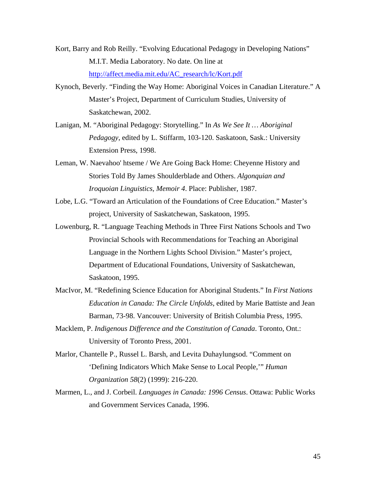- Kort, Barry and Rob Reilly. "Evolving Educational Pedagogy in Developing Nations" M.I.T. Media Laboratory. No date. On line at [http://affect.media.mit.edu/AC\\_research/lc/Kort.pdf](http://affect.media.mit.edu/AC_research/lc/Kort.pdf)
- Kynoch, Beverly. "Finding the Way Home: Aboriginal Voices in Canadian Literature." A Master's Project, Department of Curriculum Studies, University of Saskatchewan, 2002.
- Lanigan, M. "Aboriginal Pedagogy: Storytelling." In *As We See It … Aboriginal Pedagogy*, edited by L. Stiffarm, 103-120. Saskatoon, Sask.: University Extension Press, 1998.
- Leman, W. Naevahoo' htseme / We Are Going Back Home: Cheyenne History and Stories Told By James Shoulderblade and Others. *Algonquian and Iroquoian Linguistics, Memoir 4*. Place: Publisher, 1987.
- Lobe, L.G. "Toward an Articulation of the Foundations of Cree Education." Master's project, University of Saskatchewan, Saskatoon, 1995.
- Lowenburg, R. "Language Teaching Methods in Three First Nations Schools and Two Provincial Schools with Recommendations for Teaching an Aboriginal Language in the Northern Lights School Division." Master's project, Department of Educational Foundations, University of Saskatchewan, Saskatoon, 1995.
- MacIvor, M. "Redefining Science Education for Aboriginal Students." In *First Nations Education in Canada: The Circle Unfolds*, edited by Marie Battiste and Jean Barman, 73-98. Vancouver: University of British Columbia Press, 1995.
- Macklem, P. *Indigenous Difference and the Constitution of Canada*. Toronto, Ont.: University of Toronto Press, 2001.
- Marlor, Chantelle P., Russel L. Barsh, and Levita Duhaylungsod. "Comment on 'Defining Indicators Which Make Sense to Local People,'" *Human Organization 58*(2) (1999): 216-220.
- Marmen, L., and J. Corbeil. *Languages in Canada: 1996 Census*. Ottawa: Public Works and Government Services Canada, 1996.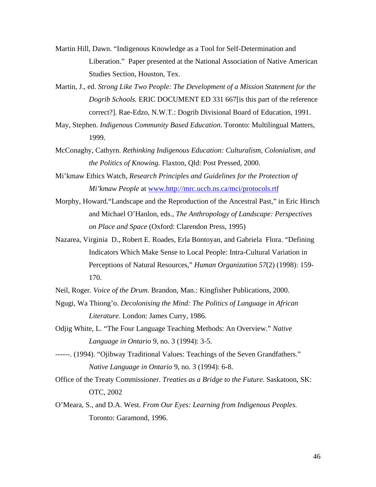- Martin Hill, Dawn. "Indigenous Knowledge as a Tool for Self-Determination and Liberation." Paper presented at the National Association of Native American Studies Section, Houston, Tex.
- Martin, J., ed. *Strong Like Two People: The Development of a Mission Statement for the Dogrib Schools.* ERIC DOCUMENT ED 331 667[is this part of the reference correct?]. Rae-Edzo, N.W.T.: Dogrib Divisional Board of Education, 1991.
- May, Stephen. *Indigenous Community Based Education*. Toronto: Multilingual Matters, 1999.
- McConaghy, Cathyrn. *Rethinking Indigenous Education: Culturalism, Colonialism, and the Politics of Knowing.* Flaxton, Qld: Post Pressed, 2000.
- Mi'kmaw Ethics Watch, *Research Principles and Guidelines for the Protection of Mi'kmaw People* at [www.http://mrc.uccb.ns.ca/mci/protocols.rtf](http://mrc.uccb.ns.ca/)
- Morphy, Howard."Landscape and the Reproduction of the Ancestral Past," in Eric Hirsch and Michael O'Hanlon, eds., *The Anthropology of Landscape: Perspectives on Place and Space* (Oxford: Clarendon Press, 1995)
- Nazarea, Virginia D., Robert E. Roades, Erla Bontoyan, and Gabriela Flora. "Defining Indicators Which Make Sense to Local People: Intra-Cultural Variation in Perceptions of Natural Resources," *Human Organization 57*(2) (1998): 159- 170.

Neil, Roger. *Voice of the Drum*. Brandon, Man.: Kingfisher Publications, 2000.

- Ngugi, Wa Thiong'o. *Decolonising the Mind: The Politics of Language in African Literature*. London: James Curry, 1986.
- Odjig White, L. "The Four Language Teaching Methods: An Overview." *Native Language in Ontario* 9, no. 3 (1994): 3-5.
- ------. (1994). "Ojibway Traditional Values: Teachings of the Seven Grandfathers." *Native Language in Ontario* 9, no. 3 (1994): 6-8.

Office of the Treaty Commissioner. *Treaties as a Bridge to the Future*. Saskatoon, SK: OTC, 2002

O'Meara, S., and D.A. West. *From Our Eyes: Learning from Indigenous Peoples.* Toronto: Garamond, 1996.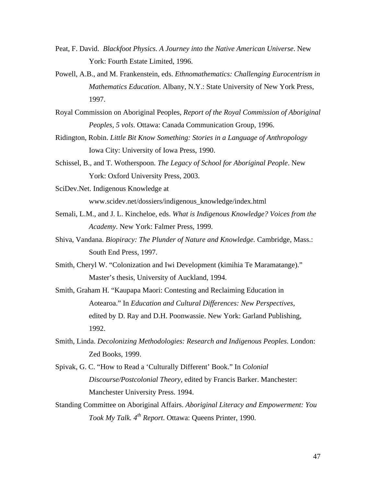- Peat, F. David. *Blackfoot Physics. A Journey into the Native American Universe*. New York: Fourth Estate Limited, 1996.
- Powell, A.B., and M. Frankenstein, eds. *Ethnomathematics: Challenging Eurocentrism in Mathematics Education*. Albany, N.Y.: State University of New York Press, 1997.
- Royal Commission on Aboriginal Peoples, *Report of the Royal Commission of Aboriginal Peoples, 5 vols*. Ottawa: Canada Communication Group, 1996.
- Ridington, Robin. *Little Bit Know Something: Stories in a Language of Anthropology* Iowa City: University of Iowa Press, 1990.
- Schissel, B., and T. Wotherspoon. *The Legacy of School for Aboriginal People*. New York: Oxford University Press, 2003.
- SciDev.Net. Indigenous Knowledge at www.scidev.net/dossiers/indigenous\_knowledge/index.html
- Semali, L.M., and J. L. Kincheloe, eds. *What is Indigenous Knowledge? Voices from the Academy*. New York: Falmer Press, 1999.
- Shiva, Vandana. *Biopiracy: The Plunder of Nature and Knowledge.* Cambridge, Mass.: South End Press, 1997.
- Smith, Cheryl W. "Colonization and Iwi Development (kimihia Te Maramatange)." Master's thesis, University of Auckland, 1994.
- Smith, Graham H. "Kaupapa Maori: Contesting and Reclaiming Education in Aotearoa." In *Education and Cultural Differences: New Perspectives*, edited by D. Ray and D.H. Poonwassie. New York: Garland Publishing, 1992.
- Smith, Linda. *Decolonizing Methodologies: Research and Indigenous Peoples*. London: Zed Books, 1999.
- Spivak, G. C. "How to Read a 'Culturally Different' Book." In *Colonial Discourse/Postcolonial Theory*, edited by Francis Barker. Manchester: Manchester University Press. 1994.
- Standing Committee on Aboriginal Affairs. *Aboriginal Literacy and Empowerment: You Took My Talk. 4th Report*. Ottawa: Queens Printer, 1990.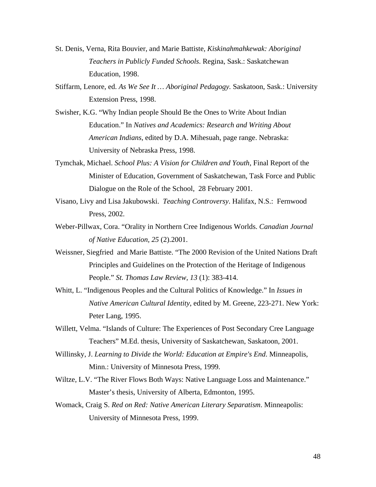- St. Denis, Verna, Rita Bouvier, and Marie Battiste, *Kiskinahmahkewak: Aboriginal Teachers in Publicly Funded Schools*. Regina, Sask.: Saskatchewan Education, 1998.
- Stiffarm, Lenore, ed. *As We See It … Aboriginal Pedagogy.* Saskatoon, Sask.: University Extension Press, 1998.
- Swisher, K.G. "Why Indian people Should Be the Ones to Write About Indian Education." In *Natives and Academics: Research and Writing About American Indians*, edited by D.A. Mihesuah, page range. Nebraska: University of Nebraska Press, 1998.
- Tymchak, Michael. *School Plus: A Vision for Children and Youth*, Final Report of the Minister of Education, Government of Saskatchewan, Task Force and Public Dialogue on the Role of the School, 28 February 2001.
- Visano, Livy and Lisa Jakubowski. *Teaching Controversy*. Halifax, N.S.: Fernwood Press, 2002.
- Weber-Pillwax, Cora. "Orality in Northern Cree Indigenous Worlds. *Canadian Journal of Native Education, 25* (2).2001.
- Weissner, Siegfried and Marie Battiste. "The 2000 Revision of the United Nations Draft Principles and Guidelines on the Protection of the Heritage of Indigenous People." *St. Thomas Law Review, 13* (1): 383-414.
- Whitt, L. "Indigenous Peoples and the Cultural Politics of Knowledge." In *Issues in Native American Cultural Identity*, edited by M. Greene, 223-271. New York: Peter Lang, 1995.
- Willett, Velma. "Islands of Culture: The Experiences of Post Secondary Cree Language Teachers" M.Ed. thesis, University of Saskatchewan, Saskatoon, 2001.
- Willinsky, J. *Learning to Divide the World: Education at Empire's End*. Minneapolis, Minn.: University of Minnesota Press, 1999.
- Wiltze, L.V. "The River Flows Both Ways: Native Language Loss and Maintenance." Master's thesis, University of Alberta, Edmonton, 1995.
- Womack, Craig S. *Red on Red: Native American Literary Separatism*. Minneapolis: University of Minnesota Press, 1999.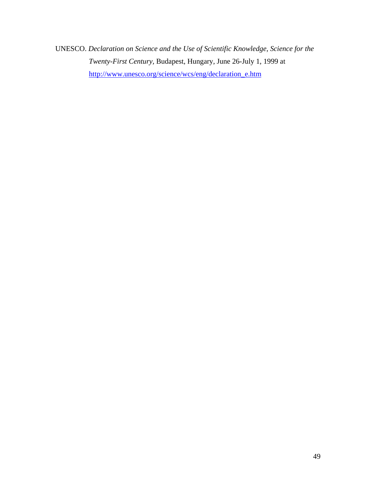UNESCO. *Declaration on Science and the Use of Scientific Knowledge, Science for the Twenty-First Century,* Budapest, Hungary, June 26-July 1, 1999 at [http://www.unesco.org/science/wcs/eng/declaration\\_e.htm](http://www.unesco.org/science/wcs/eng/declaration_e.htm)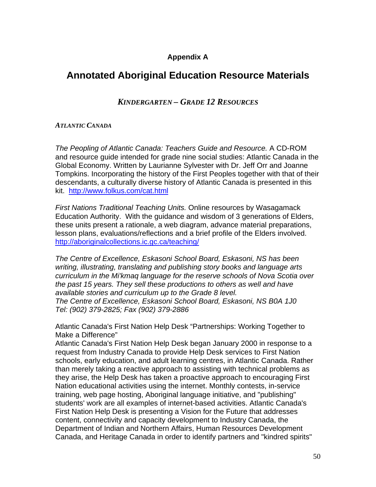## **Appendix A**

## **Annotated Aboriginal Education Resource Materials**

## *KINDERGARTEN – GRADE 12 RESOURCES*

## *ATLANTIC CANADA*

*The Peopling of Atlantic Canada: Teachers Guide and Resource.* A CD-ROM and resource guide intended for grade nine social studies: Atlantic Canada in the Global Economy. Written by Laurianne Sylvester with Dr. Jeff Orr and Joanne Tompkins. Incorporating the history of the First Peoples together with that of their descendants, a culturally diverse history of Atlantic Canada is presented in this kit.<http://www.folkus.com/cat.html>

*First Nations Traditional Teaching Units.* Online resources by Wasagamack Education Authority. With the guidance and wisdom of 3 generations of Elders, these units present a rationale, a web diagram, advance material preparations, lesson plans, evaluations/reflections and a brief profile of the Elders involved. <http://aboriginalcollections.ic.gc.ca/teaching/>

*The Centre of Excellence, Eskasoni School Board, Eskasoni, NS has been writing, illustrating, translating and publishing story books and language arts curriculum in the Mi'kmaq language for the reserve schools of Nova Scotia over the past 15 years. They sell these productions to others as well and have available stories and curriculum up to the Grade 8 level. The Centre of Excellence, Eskasoni School Board, Eskasoni, NS B0A 1J0 Tel: (902) 379-2825; Fax (902) 379-2886*

Atlantic Canada's First Nation Help Desk "Partnerships: Working Together to Make a Difference"

Atlantic Canada's First Nation Help Desk began January 2000 in response to a request from Industry Canada to provide Help Desk services to First Nation schools, early education, and adult learning centres, in Atlantic Canada. Rather than merely taking a reactive approach to assisting with technical problems as they arise, the Help Desk has taken a proactive approach to encouraging First Nation educational activities using the internet. Monthly contests, in-service training, web page hosting, Aboriginal language initiative, and "publishing" students' work are all examples of internet-based activities. Atlantic Canada's First Nation Help Desk is presenting a Vision for the Future that addresses content, connectivity and capacity development to Industry Canada, the Department of Indian and Northern Affairs, Human Resources Development Canada, and Heritage Canada in order to identify partners and "kindred spirits"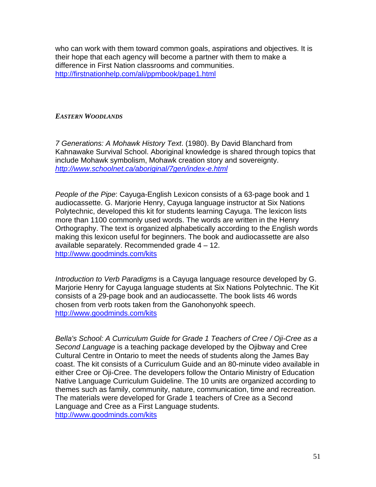who can work with them toward common goals, aspirations and objectives. It is their hope that each agency will become a partner with them to make a difference in First Nation classrooms and communities. <http://firstnationhelp.com/ali/ppmbook/page1.html>

*EASTERN WOODLANDS*

*7 Generations: A Mohawk History Text*. (1980). By David Blanchard from Kahnawake Survival School. Aboriginal knowledge is shared through topics that include Mohawk symbolism, Mohawk creation story and sovereignty. *<http://www.schoolnet.ca/aboriginal/7gen/index-e.html>*

*People of the Pipe*: Cayuga-English Lexicon consists of a 63-page book and 1 audiocassette. G. Marjorie Henry, Cayuga language instructor at Six Nations Polytechnic, developed this kit for students learning Cayuga. The lexicon lists more than 1100 commonly used words. The words are written in the Henry Orthography. The text is organized alphabetically according to the English words making this lexicon useful for beginners. The book and audiocassette are also available separately. Recommended grade 4 – 12. <http://www.goodminds.com/kits>

*Introduction to Verb Paradigms* is a Cayuga language resource developed by G. Marjorie Henry for Cayuga language students at Six Nations Polytechnic. The Kit consists of a 29-page book and an audiocassette. The book lists 46 words chosen from verb roots taken from the Ganohonyohk speech. <http://www.goodminds.com/kits>

*Bella's School: A Curriculum Guide for Grade 1 Teachers of Cree / Oji-Cree as a Second Language* is a teaching package developed by the Ojibway and Cree Cultural Centre in Ontario to meet the needs of students along the James Bay coast. The kit consists of a Curriculum Guide and an 80-minute video available in either Cree or Oji-Cree. The developers follow the Ontario Ministry of Education Native Language Curriculum Guideline. The 10 units are organized according to themes such as family, community, nature, communication, time and recreation. The materials were developed for Grade 1 teachers of Cree as a Second Language and Cree as a First Language students. <http://www.goodminds.com/kits>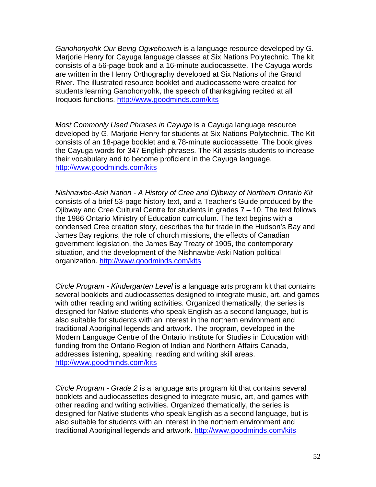*Ganohonyohk Our Being Ogweho:weh* is a language resource developed by G. Marjorie Henry for Cayuga language classes at Six Nations Polytechnic. The kit consists of a 56-page book and a 16-minute audiocassette. The Cayuga words are written in the Henry Orthography developed at Six Nations of the Grand River. The illustrated resource booklet and audiocassette were created for students learning Ganohonyohk, the speech of thanksgiving recited at all Iroquois functions.<http://www.goodminds.com/kits>

*Most Commonly Used Phrases in Cayuga* is a Cayuga language resource developed by G. Marjorie Henry for students at Six Nations Polytechnic. The Kit consists of an 18-page booklet and a 78-minute audiocassette. The book gives the Cayuga words for 347 English phrases. The Kit assists students to increase their vocabulary and to become proficient in the Cayuga language. <http://www.goodminds.com/kits>

*Nishnawbe-Aski Nation - A History of Cree and Ojibway of Northern Ontario Kit* consists of a brief 53-page history text, and a Teacher's Guide produced by the Ojibway and Cree Cultural Centre for students in grades 7 – 10. The text follows the 1986 Ontario Ministry of Education curriculum. The text begins with a condensed Cree creation story, describes the fur trade in the Hudson's Bay and James Bay regions, the role of church missions, the effects of Canadian government legislation, the James Bay Treaty of 1905, the contemporary situation, and the development of the Nishnawbe-Aski Nation political organization.<http://www.goodminds.com/kits>

*Circle Program - Kindergarten Level* is a language arts program kit that contains several booklets and audiocassettes designed to integrate music, art, and games with other reading and writing activities. Organized thematically, the series is designed for Native students who speak English as a second language, but is also suitable for students with an interest in the northern environment and traditional Aboriginal legends and artwork. The program, developed in the Modern Language Centre of the Ontario Institute for Studies in Education with funding from the Ontario Region of Indian and Northern Affairs Canada, addresses listening, speaking, reading and writing skill areas. <http://www.goodminds.com/kits>

*Circle Program - Grade 2* is a language arts program kit that contains several booklets and audiocassettes designed to integrate music, art, and games with other reading and writing activities. Organized thematically, the series is designed for Native students who speak English as a second language, but is also suitable for students with an interest in the northern environment and traditional Aboriginal legends and artwork[. http://www.goodminds.com/kits](http://www.goodminds.com/kits)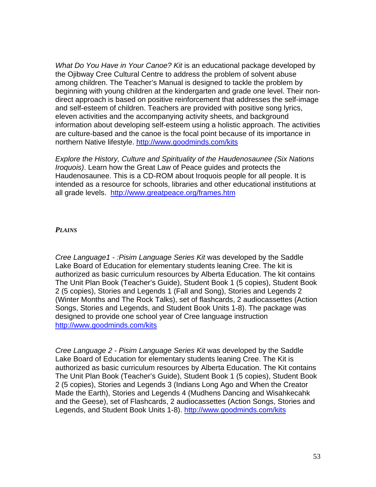*What Do You Have in Your Canoe? Kit* is an educational package developed by the Ojibway Cree Cultural Centre to address the problem of solvent abuse among children. The Teacher's Manual is designed to tackle the problem by beginning with young children at the kindergarten and grade one level. Their nondirect approach is based on positive reinforcement that addresses the self-image and self-esteem of children. Teachers are provided with positive song lyrics, eleven activities and the accompanying activity sheets, and background information about developing self-esteem using a holistic approach. The activities are culture-based and the canoe is the focal point because of its importance in northern Native lifestyle.<http://www.goodminds.com/kits>

*Explore the History, Culture and Spirituality of the Haudenosaunee (Six Nations Iroquois)*. Learn how the Great Law of Peace guides and protects the Haudenosaunee. This is a CD-ROM about Iroquois people for all people. It is intended as a resource for schools, libraries and other educational institutions at all grade levels. <http://www.greatpeace.org/frames.htm>

## *PLAINS*

*Cree Language1 - :Pisim Language Series Kit* was developed by the Saddle Lake Board of Education for elementary students leaning Cree. The kit is authorized as basic curriculum resources by Alberta Education. The kit contains The Unit Plan Book (Teacher's Guide), Student Book 1 (5 copies), Student Book 2 (5 copies), Stories and Legends 1 (Fall and Song), Stories and Legends 2 (Winter Months and The Rock Talks), set of flashcards, 2 audiocassettes (Action Songs, Stories and Legends, and Student Book Units 1-8). The package was designed to provide one school year of Cree language instruction <http://www.goodminds.com/kits>

*Cree Language 2 - Pisim Language Series Kit* was developed by the Saddle Lake Board of Education for elementary students leaning Cree. The Kit is authorized as basic curriculum resources by Alberta Education. The Kit contains The Unit Plan Book (Teacher's Guide), Student Book 1 (5 copies), Student Book 2 (5 copies), Stories and Legends 3 (Indians Long Ago and When the Creator Made the Earth), Stories and Legends 4 (Mudhens Dancing and Wisahkecahk and the Geese), set of Flashcards, 2 audiocassettes (Action Songs, Stories and Legends, and Student Book Units 1-8).<http://www.goodminds.com/kits>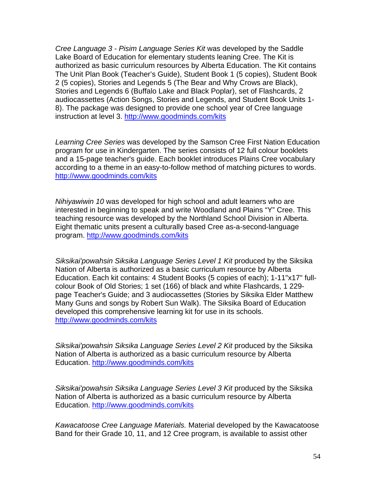*Cree Language 3 - Pisim Language Series Kit* was developed by the Saddle Lake Board of Education for elementary students leaning Cree. The Kit is authorized as basic curriculum resources by Alberta Education. The Kit contains The Unit Plan Book (Teacher's Guide), Student Book 1 (5 copies), Student Book 2 (5 copies), Stories and Legends 5 (The Bear and Why Crows are Black), Stories and Legends 6 (Buffalo Lake and Black Poplar), set of Flashcards, 2 audiocassettes (Action Songs, Stories and Legends, and Student Book Units 1- 8). The package was designed to provide one school year of Cree language instruction at level 3.<http://www.goodminds.com/kits>

*Learning Cree Series* was developed by the Samson Cree First Nation Education program for use in Kindergarten. The series consists of 12 full colour booklets and a 15-page teacher's guide. Each booklet introduces Plains Cree vocabulary according to a theme in an easy-to-follow method of matching pictures to words. <http://www.goodminds.com/kits>

*Nihiyawiwin 10* was developed for high school and adult learners who are interested in beginning to speak and write Woodland and Plains "Y" Cree. This teaching resource was developed by the Northland School Division in Alberta. Eight thematic units present a culturally based Cree as-a-second-language program[. http://www.goodminds.com/kits](http://www.goodminds.com/kits)

*Siksikai'powahsin Siksika Language Series Level 1 Kit* produced by the Siksika Nation of Alberta is authorized as a basic curriculum resource by Alberta Education. Each kit contains: 4 Student Books (5 copies of each); 1-11"x17" fullcolour Book of Old Stories; 1 set (166) of black and white Flashcards, 1 229 page Teacher's Guide; and 3 audiocassettes (Stories by Siksika Elder Matthew Many Guns and songs by Robert Sun Walk). The Siksika Board of Education developed this comprehensive learning kit for use in its schools. <http://www.goodminds.com/kits>

*Siksikai'powahsin Siksika Language Series Level 2 Kit* produced by the Siksika Nation of Alberta is authorized as a basic curriculum resource by Alberta Education.<http://www.goodminds.com/kits>

*Siksikai'powahsin Siksika Language Series Level 3 Kit* produced by the Siksika Nation of Alberta is authorized as a basic curriculum resource by Alberta Education.<http://www.goodminds.com/kits>

*Kawacatoose Cree Language Materials.* Material developed by the Kawacatoose Band for their Grade 10, 11, and 12 Cree program, is available to assist other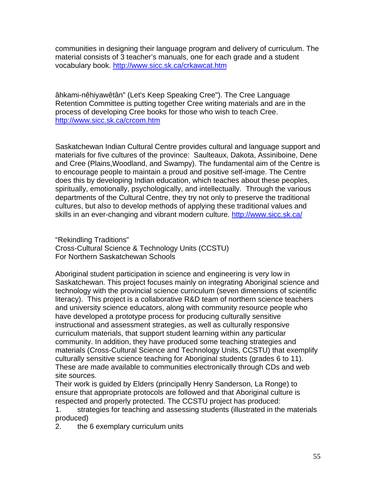communities in designing their language program and delivery of curriculum. The material consists of 3 teacher's manuals, one for each grade and a student vocabulary book.<http://www.sicc.sk.ca/crkawcat.htm>

âhkami-nêhiyawêtân" (Let's Keep Speaking Cree"). The Cree Language Retention Committee is putting together Cree writing materials and are in the process of developing Cree books for those who wish to teach Cree. <http://www.sicc.sk.ca/crcom.htm>

Saskatchewan Indian Cultural Centre provides cultural and language support and materials for five cultures of the province: Saulteaux, Dakota, Assiniboine, Dene and Cree (Plains,Woodland, and Swampy). The fundamental aim of the Centre is to encourage people to maintain a proud and positive self-image. The Centre does this by developing Indian education, which teaches about these peoples, spiritually, emotionally, psychologically, and intellectually. Through the various departments of the Cultural Centre, they try not only to preserve the traditional cultures, but also to develop methods of applying these traditional values and skills in an ever-changing and vibrant modern culture.<http://www.sicc.sk.ca/>

"Rekindling Traditions" Cross-Cultural Science & Technology Units (CCSTU) For Northern Saskatchewan Schools

Aboriginal student participation in science and engineering is very low in Saskatchewan. This project focuses mainly on integrating Aboriginal science and technology with the provincial science curriculum (seven dimensions of scientific literacy). This project is a collaborative R&D team of northern science teachers and university science educators, along with community resource people who have developed a prototype process for producing culturally sensitive instructional and assessment strategies, as well as culturally responsive curriculum materials, that support student learning within any particular community. In addition, they have produced some teaching strategies and materials (Cross-Cultural Science and Technology Units, CCSTU) that exemplify culturally sensitive science teaching for Aboriginal students (grades 6 to 11). These are made available to communities electronically through CDs and web site sources.

Their work is guided by Elders (principally Henry Sanderson, La Ronge) to ensure that appropriate protocols are followed and that Aboriginal culture is respected and properly protected. The CCSTU project has produced:

1. strategies for teaching and assessing students (illustrated in the materials produced)

2. the 6 exemplary curriculum units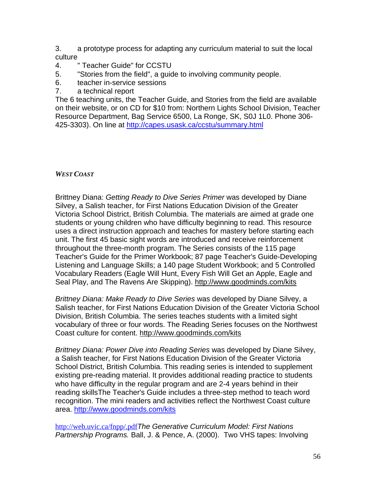3. a prototype process for adapting any curriculum material to suit the local culture

- 4. " Teacher Guide" for CCSTU
- 5. "Stories from the field", a guide to involving community people.
- 6. teacher in-service sessions
- 7. a technical report

The 6 teaching units, the Teacher Guide, and Stories from the field are available on their website, or on CD for \$10 from: Northern Lights School Division, Teacher Resource Department, Bag Service 6500, La Ronge, SK, S0J 1L0. Phone 306- 425-3303). On line at<http://capes.usask.ca/ccstu/summary.html>

*WEST COAST*

Brittney Diana: *Getting Ready to Dive Series Primer* was developed by Diane Silvey, a Salish teacher, for First Nations Education Division of the Greater Victoria School District, British Columbia. The materials are aimed at grade one students or young children who have difficulty beginning to read. This resource uses a direct instruction approach and teaches for mastery before starting each unit. The first 45 basic sight words are introduced and receive reinforcement throughout the three-month program. The Series consists of the 115 page Teacher's Guide for the Primer Workbook; 87 page Teacher's Guide-Developing Listening and Language Skills; a 140 page Student Workbook; and 5 Controlled Vocabulary Readers (Eagle Will Hunt, Every Fish Will Get an Apple, Eagle and Seal Play, and The Ravens Are Skipping).<http://www.goodminds.com/kits>

*Brittney Diana: Make Ready to Dive Series* was developed by Diane Silvey, a Salish teacher, for First Nations Education Division of the Greater Victoria School Division, British Columbia. The series teaches students with a limited sight vocabulary of three or four words. The Reading Series focuses on the Northwest Coast culture for content.<http://www.goodminds.com/kits>

*Brittney Diana: Power Dive into Reading Series* was developed by Diane Silvey, a Salish teacher, for First Nations Education Division of the Greater Victoria School District, British Columbia. This reading series is intended to supplement existing pre-reading material. It provides additional reading practice to students who have difficulty in the regular program and are 2-4 years behind in their reading skillsThe Teacher's Guide includes a three-step method to teach word recognition. The mini readers and activities reflect the Northwest Coast culture area.<http://www.goodminds.com/kits>

<http://web.uvic.ca/fnpp/.pdf>*The Generative Curriculum Model: First Nations Partnership Programs.* Ball, J. & Pence, A. (2000). Two VHS tapes: Involving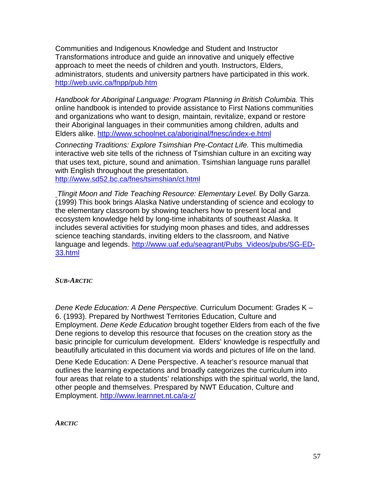Communities and Indigenous Knowledge and Student and Instructor Transformations introduce and guide an innovative and uniquely effective approach to meet the needs of children and youth. Instructors, Elders, administrators, students and university partners have participated in this work. <http://web.uvic.ca/fnpp/pub.htm>

*Handbook for Aboriginal Language: Program Planning in British Columbia. This* online handbook is intended to provide assistance to First Nations communities and organizations who want to design, maintain, revitalize, expand or restore their Aboriginal languages in their communities among children, adults and Elders alike.<http://www.schoolnet.ca/aboriginal/fnesc/index-e.html>

*Connecting Traditions: Explore Tsimshian Pre-Contact Life.* This multimedia interactive web site tells of the richness of Tsimshian culture in an exciting way that uses text, picture, sound and animation. Tsimshian language runs parallel with English throughout the presentation.

<http://www.sd52.bc.ca/fnes/tsimshian/ct.html>

*Tlingit Moon and Tide Teaching Resource: Elementary Level.* By Dolly Garza. (1999) This book brings Alaska Native understanding of science and ecology to the elementary classroom by showing teachers how to present local and ecosystem knowledge held by long-time inhabitants of southeast Alaska. It includes several activities for studying moon phases and tides, and addresses science teaching standards, inviting elders to the classroom, and Native language and legends. [http://www.uaf.edu/seagrant/Pubs\\_Videos/pubs/SG-ED-](http://www.uaf.edu/seagrant/Pubs_Videos/pubs/SG-ED-33.html)[33.html](http://www.uaf.edu/seagrant/Pubs_Videos/pubs/SG-ED-33.html)

*SUB-ARCTIC*

*Dene Kede Education: A Dene Perspective.* Curriculum Document: Grades K – 6. (1993). Prepared by Northwest Territories Education, Culture and Employment. *Dene Kede Education* brought together Elders from each of the five Dene regions to develop this resource that focuses on the creation story as the basic principle for curriculum development. Elders' knowledge is respectfully and beautifully articulated in this document via words and pictures of life on the land.

Dene Kede Education: A Dene Perspective. A teacher's resource manual that outlines the learning expectations and broadly categorizes the curriculum into four areas that relate to a students' relationships with the spiritual world, the land, other people and themselves. Prespared by NWT Education, Culture and Employment[. http://www.learnnet.nt.ca/a-z/](http://www.learnnet.nt.ca/a-z/)

*ARCTIC*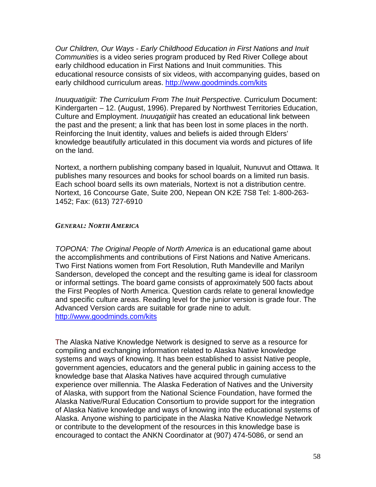*Our Children, Our Ways - Early Childhood Education in First Nations and Inuit Communities* is a video series program produced by Red River College about early childhood education in First Nations and Inuit communities. This educational resource consists of six videos, with accompanying guides, based on early childhood curriculum areas.<http://www.goodminds.com/kits>

*Inuuquatigiit: The Curriculum From The Inuit Perspective. Curriculum Document:* Kindergarten – 12. (August, 1996). Prepared by Northwest Territories Education, Culture and Employment. *Inuuqatigiit* has created an educational link between the past and the present; a link that has been lost in some places in the north. Reinforcing the Inuit identity, values and beliefs is aided through Elders' knowledge beautifully articulated in this document via words and pictures of life on the land.

Nortext, a northern publishing company based in Iqualuit, Nunuvut and Ottawa. It publishes many resources and books for school boards on a limited run basis. Each school board sells its own materials, Nortext is not a distribution centre. Nortext, 16 Concourse Gate, Suite 200, Nepean ON K2E 7S8 Tel: 1-800-263- 1452; Fax: (613) 727-6910

## *GENERAL: NORTH AMERICA*

*TOPONA: The Original People of North America* is an educational game about the accomplishments and contributions of First Nations and Native Americans. Two First Nations women from Fort Resolution, Ruth Mandeville and Marilyn Sanderson, developed the concept and the resulting game is ideal for classroom or informal settings. The board game consists of approximately 500 facts about the First Peoples of North America. Question cards relate to general knowledge and specific culture areas. Reading level for the junior version is grade four. The Advanced Version cards are suitable for grade nine to adult. <http://www.goodminds.com/kits>

The Alaska Native Knowledge Network is designed to serve as a resource for compiling and exchanging information related to Alaska Native knowledge systems and ways of knowing. It has been established to assist Native people, government agencies, educators and the general public in gaining access to the knowledge base that Alaska Natives have acquired through cumulative experience over millennia. The Alaska Federation of Natives and the University of Alaska, with support from the National Science Foundation, have formed the Alaska Native/Rural Education Consortium to provide support for the integration of Alaska Native knowledge and ways of knowing into the educational systems of Alaska. Anyone wishing to participate in the Alaska Native Knowledge Network or contribute to the development of the resources in this knowledge base is encouraged to contact the ANKN Coordinator at (907) 474-5086, or send an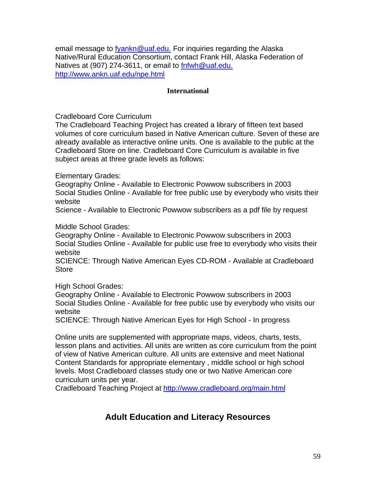email message to [fyankn@uaf.edu.](mailto:fyankn@uaf.edu) For inquiries regarding the Alaska Native/Rural Education Consortium, contact Frank Hill, Alaska Federation of Natives at (907) 274-3611, or email to [fnfwh@uaf.edu.](mailto:fyankn@uaf.edu) <http://www.ankn.uaf.edu/npe.html>

## **International**

Cradleboard Core Curriculum

The Cradleboard Teaching Project has created a library of fifteen text based volumes of core curriculum based in Native American culture. Seven of these are already available as interactive online units. One is available to the public at the Cradleboard Store on line. Cradleboard Core Curriculum is available in five subject areas at three grade levels as follows:

## Elementary Grades:

Geography Online - Available to Electronic Powwow subscribers in 2003 Social Studies Online - Available for free public use by everybody who visits their website

Science - Available to Electronic Powwow subscribers as a pdf file by request

Middle School Grades:

Geography Online - Available to Electronic Powwow subscribers in 2003 Social Studies Online - Available for public use free to everybody who visits their website

SCIENCE: Through Native American Eyes CD-ROM - Available at Cradleboard **Store** 

High School Grades:

Geography Online - Available to Electronic Powwow subscribers in 2003 Social Studies Online - Available for free public use by everybody who visits our website

SCIENCE: Through Native American Eyes for High School - In progress

Online units are supplemented with appropriate maps, videos, charts, tests, lesson plans and activities. All units are written as core curriculum from the point of view of Native American culture. All units are extensive and meet National Content Standards for appropriate elementary , middle school or high school levels. Most Cradleboard classes study one or two Native American core curriculum units per year.

Cradleboard Teaching Project at<http://www.cradleboard.org/main.html>

## **Adult Education and Literacy Resources**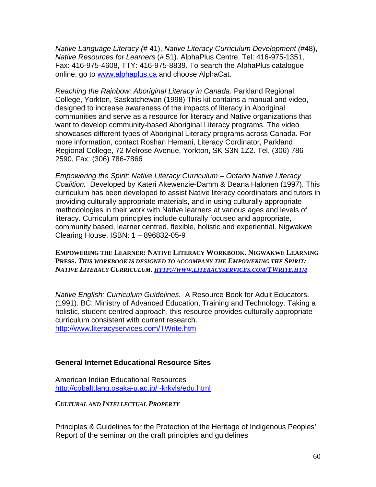*Native Language Literacy (*# 41), *Native Literacy Curriculum Development (*#48), *Native Resources for Learners* (# 51). AlphaPlus Centre, Tel: 416-975-1351, Fax: 416-975-4608, TTY: 416-975-8839. To search the AlphaPlus catalogue online, go to [www.alphaplus.ca](http://www.alphaplus.ca) and choose AlphaCat.

*Reaching the Rainbow: Aboriginal Literacy in Canada*. Parkland Regional College, Yorkton, Saskatchewan (1998) This kit contains a manual and video, designed to increase awareness of the impacts of literacy in Aboriginal communities and serve as a resource for literacy and Native organizations that want to develop community-based Aboriginal Literacy programs. The video showcases different types of Aboriginal Literacy programs across Canada. For more information, contact Roshan Hemani, Literacy Cordinator, Parkland Regional College, 72 Melrose Avenue, Yorkton, SK S3N 1Z2. Tel. (306) 786- 2590, Fax: (306) 786-7866

*Empowering the Spirit: Native Literacy Curriculum – Ontario Native Literacy Coalition.* Developed by Kateri Akewenzie-Damm & Deana Halonen (1997). This curriculum has been developed to assist Native literacy coordinators and tutors in providing culturally appropriate materials, and in using culturally appropriate methodologies in their work with Native learners at various ages and levels of literacy. Curriculum principles include culturally focused and appropriate, community based, learner centred, flexible, holistic and experiential. Nigwakwe Clearing House. ISBN: 1 – 896832-05-9

**EMPOWERING THE LEARNER: NATIVE LITERACY WORKBOOK. NIGWAKWE LEARNING PRESS.** *THIS WORKBOOK IS DESIGNED TO ACCOMPANY THE EMPOWERING THE SPIRIT: NATIVE LITERACY CURRICULUM. HTTP://WWW.[LITERACYSERVICES](HTTP://WWW.LITERACYSERVICES.COM/TWRITE.HTM).COM/TWRITE.HTM*

*Native English: Curriculum Guidelines.* A Resource Book for Adult Educators. (1991). BC: Ministry of Advanced Education, Training and Technology. Taking a holistic, student-centred approach, this resource provides culturally appropriate curriculum consistent with current research. <http://www.literacyservices.com/TWrite.htm>

## **General Internet Educational Resource Sites**

American Indian Educational Resources <http://cobalt.lang.osaka-u.ac.jp/~krkvls/edu.html>

*CULTURAL AND INTELLECTUAL PROPERTY*

Principles & Guidelines for the Protection of the Heritage of Indigenous Peoples' Report of the seminar on the draft principles and guidelines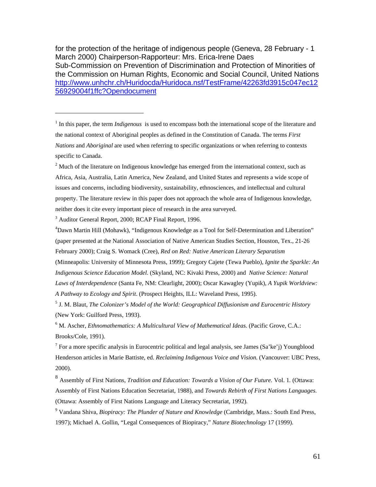for the protection of the heritage of indigenous people (Geneva, 28 February - 1 March 2000) Chairperson-Rapporteur: Mrs. Erica-Irene Daes Sub-Commission on Prevention of Discrimination and Protection of Minorities of the Commission on Human Rights, Economic and Social Council, United Nations [http://www.unhchr.ch/Huridocda/Huridoca.nsf/TestFrame/42263fd3915c047ec12](http://www.unhchr.ch/Huridocda/Huridoca.nsf/TestFrame/42263fd3915c047ec1256929004f1ffc?Opendocument) [56929004f1ffc?Opendocument](http://www.unhchr.ch/Huridocda/Huridoca.nsf/TestFrame/42263fd3915c047ec1256929004f1ffc?Opendocument)

<sup>1</sup> In this paper, the term *Indigenous* is used to encompass both the international scope of the literature and the national context of Aboriginal peoples as defined in the Constitution of Canada. The terms *First Nations* and *Aboriginal* are used when referring to specific organizations or when referring to contexts specific to Canada.

 $2^{2}$  Much of the literature on Indigenous knowledge has emerged from the international context, such as Africa, Asia, Australia, Latin America, New Zealand, and United States and represents a wide scope of issues and concerns, including biodiversity, sustainability, ethnosciences, and intellectual and cultural property. The literature review in this paper does not approach the whole area of Indigenous knowledge, neither does it cite every important piece of research in the area surveyed.

<sup>3</sup> Auditor General Report, 2000; RCAP Final Report, 1996.

 $\overline{a}$ 

<sup>4</sup>Dawn Martin Hill (Mohawk), "Indigenous Knowledge as a Tool for Self-Determination and Liberation" (paper presented at the National Association of Native American Studies Section, Houston, Tex., 21-26 February 2000); Craig S. Womack (Cree), *Red on Red: Native American Literary Separatism*

(Minneapolis: University of Minnesota Press, 1999); Gregory Cajete (Tewa Pueblo), *Ignite the Sparkle: An Indigenous Science Education Model*. (Skyland, NC: Kivaki Press, 2000) and *Native Science: Natural Laws of Interdependence* (Santa Fe, NM: Clearlight, 2000); Oscar Kawagley (Yupik), *A Yupik Worldview: A Pathway to Ecology and Spirit*. (Prospect Heights, ILL: Waveland Press, 1995).

5 J. M. Blaut, *The Colonizer's Model of the World: Geographical Diffusionism and Eurocentric History* (New York: Guilford Press, 1993).

6 M. Ascher, *Ethnomathematics: A Multicultural View of Mathematical Ideas*. (Pacific Grove, C.A.: Brooks/Cole, 1991).

<sup>7</sup> For a more specific analysis in Eurocentric political and legal analysis, see James (Sa'ke'j) Youngblood Henderson articles in Marie Battiste, ed. *Reclaiming Indigenous Voice and Vision.* (Vancouver: UBC Press, 2000).

8 Assembly of First Nations, *Tradition and Education: Towards a Vision of Our Future.* Vol. 1*.* (Ottawa: Assembly of First Nations Education Secretariat, 1988), and *Towards Rebirth of First Nations Languages*. (Ottawa: Assembly of First Nations Language and Literacy Secretariat, 1992)*.*

9 Vandana Shiva, *Biopiracy: The Plunder of Nature and Knowledge* (Cambridge, Mass.: South End Press, 1997); Michael A. Gollin, "Legal Consequences of Biopiracy," *Nature Biotechnology* 17 (1999).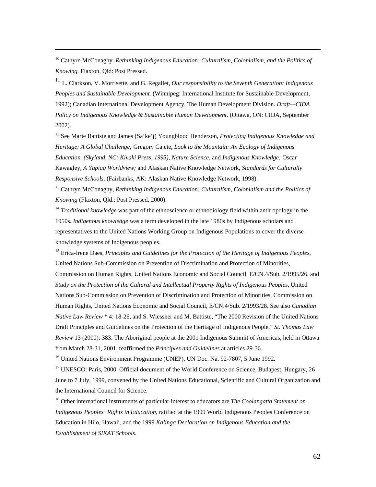<sup>10</sup> Cathyrn McConaghy. *Rethinking Indigenous Education: Culturalism, Colonialism, and the Politics of Knowing.* Flaxton, Qld: Post Pressed.

 $\overline{a}$ 

<sup>11</sup> L. Clarkson, V. Morrisette, and G. Regallet, *Our responsibility to the Seventh Generation: Indigenous Peoples and Sustainable Development.* (Winnipeg: International Institute for Sustainable Development, 1992); Canadian International Development Agency, The Human Development Division. *Draft—CIDA Policy on Indigenous Knowledge & Sustainable Human Development*. (Ottawa, ON: CIDA, September 2002).

<sup>12</sup> See Marie Battiste and James (Sa'ke'j) Youngblood Henderson, *Protecting Indigenous Knowledge and Heritage: A Global Challenge;* Gregory Cajete, *Look to the Mountain: An Ecology of Indigenous Education. (Skyland, NC: Kivaki Press, 1995), Nature Science,* and *Indigenous Knowledge;* Oscar Kawagley, *A Yupiaq Worldview;* and Alaskan Native Knowledge Network, *Standards for Culturally Responsive Schools*. (Fairbanks, AK: Alaskan Native Knowledge Network, 1998).

<sup>13</sup> Cathryn McConaghy, *Rethinking Indigenous Education: Culturalism, Colonialism and the Politics of Knowing* (Flaxton, Qld.: Post Pressed, 2000).

<sup>14</sup> *Traditional knowledge* was part of the ethnoscience or ethnobiology field within anthropology in the 1950s. *Indigenous knowledge* was a term developed in the late 1980s by Indigenous scholars and representatives to the United Nations Working Group on Indigenous Populations to cover the diverse knowledge systems of Indigenous peoples.

<sup>15</sup> Erica-Irene Daes, *Principles and Guidelines for the Protection of the Heritage of Indigenous Peoples,* United Nations Sub-Commission on Prevention of Discrimination and Protection of Minorities, Commission on Human Rights, United Nations Economic and Social Council, E/CN.4/Sub. 2/1995/26, and *Study on the Protection of the Cultural and Intellectual Property Rights of Indigenous Peoples,* United Nations Sub-Commission on Prevention of Discrimination and Protection of Minorities, Commission on Human Rights, United Nations Economic and Social Council, E/CN.4/Sub. 2/1993/28. See also *Canadian Native Law Review* \* 4: 18-26, and S. Wiessner and M. Battiste, "The 2000 Revision of the United Nations Draft Principles and Guidelines on the Protection of the Heritage of Indigenous People," *St. Thomas Law Review* 13 (2000): 383. The Aboriginal people at the 2001 Indigenous Summit of Americas, held in Ottawa from March 28-31, 2001, reaffirmed the *Principles and Guidelines* at articles 29-36.

<sup>16</sup> United Nations Environment Programme (UNEP), UN Doc. Na. 92-7807, 5 June 1992.

<sup>17</sup> UNESCO: Paris, 2000. Official document of the World Conference on Science, Budapest, Hungary, 26 June to 7 July, 1999, convened by the United Nations Educational, Scientific and Cultural Organization and the International Council for Science.

<sup>18</sup> Other international instruments of particular interest to educators are *The Coolangatta Statement on Indigenous Peoples' Rights in Education,* ratified at the 1999 World Indigenous Peoples Conference on Education in Hilo, Hawaii, and the 1999 *Kalinga Declaration on Indigenous Education and the Establishment of SIKAT Schools*.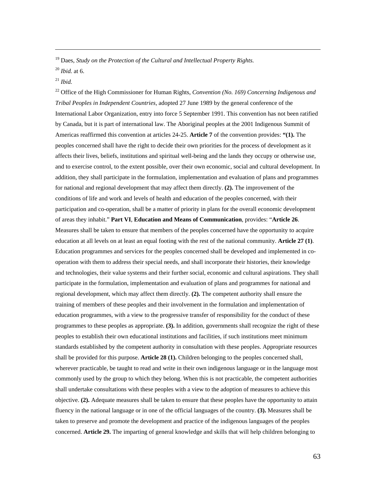<sup>19</sup> Daes, *Study on the Protection of the Cultural and Intellectual Property Rights.*

 $^{21}$  *Ibid.* 

 $\overline{a}$ 

<sup>22</sup> Office of the High Commissioner for Human Rights, *Convention (No. 169) Concerning Indigenous and Tribal Peoples in Independent Countries,* adopted 27 June 1989 by the general conference of the International Labor Organization, entry into force 5 September 1991. This convention has not been ratified by Canada, but it is part of international law. The Aboriginal peoples at the 2001 Indigenous Summit of Americas reaffirmed this convention at articles 24-25. **Article 7** of the convention provides: **"(1).** The peoples concerned shall have the right to decide their own priorities for the process of development as it affects their lives, beliefs, institutions and spiritual well-being and the lands they occupy or otherwise use, and to exercise control, to the extent possible, over their own economic, social and cultural development. In addition, they shall participate in the formulation, implementation and evaluation of plans and programmes for national and regional development that may affect them directly. **(2).** The improvement of the conditions of life and work and levels of health and education of the peoples concerned, with their participation and co-operation, shall be a matter of priority in plans for the overall economic development of areas they inhabit." **Part VI**, **Education and Means of Communication**, provides: "**Article 26**. Measures shall be taken to ensure that members of the peoples concerned have the opportunity to acquire education at all levels on at least an equal footing with the rest of the national community. **Article 27 (1)**. Education programmes and services for the peoples concerned shall be developed and implemented in cooperation with them to address their special needs, and shall incorporate their histories, their knowledge and technologies, their value systems and their further social, economic and cultural aspirations. They shall participate in the formulation, implementation and evaluation of plans and programmes for national and regional development, which may affect them directly. **(2).** The competent authority shall ensure the training of members of these peoples and their involvement in the formulation and implementation of education programmes, with a view to the progressive transfer of responsibility for the conduct of these programmes to these peoples as appropriate. **(3).** In addition, governments shall recognize the right of these peoples to establish their own educational institutions and facilities, if such institutions meet minimum standards established by the competent authority in consultation with these peoples. Appropriate resources shall be provided for this purpose. **Article 28 (1).** Children belonging to the peoples concerned shall, wherever practicable, be taught to read and write in their own indigenous language or in the language most commonly used by the group to which they belong. When this is not practicable, the competent authorities shall undertake consultations with these peoples with a view to the adoption of measures to achieve this objective. **(2).** Adequate measures shall be taken to ensure that these peoples have the opportunity to attain fluency in the national language or in one of the official languages of the country. **(3).** Measures shall be taken to preserve and promote the development and practice of the indigenous languages of the peoples concerned. **Article 29.** The imparting of general knowledge and skills that will help children belonging to

<sup>20</sup> *Ibid.* at 6.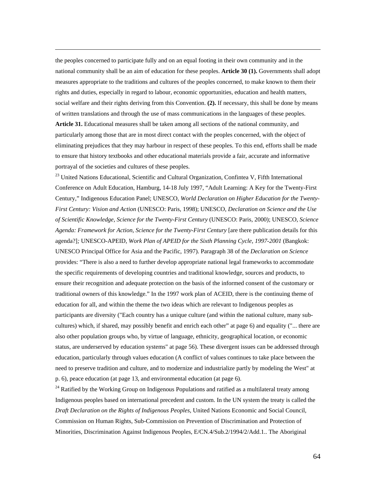the peoples concerned to participate fully and on an equal footing in their own community and in the national community shall be an aim of education for these peoples. **Article 30 (1).** Governments shall adopt measures appropriate to the traditions and cultures of the peoples concerned, to make known to them their rights and duties, especially in regard to labour, economic opportunities, education and health matters, social welfare and their rights deriving from this Convention. **(2).** If necessary, this shall be done by means of written translations and through the use of mass communications in the languages of these peoples. **Article 31.** Educational measures shall be taken among all sections of the national community, and particularly among those that are in most direct contact with the peoples concerned, with the object of eliminating prejudices that they may harbour in respect of these peoples. To this end, efforts shall be made to ensure that history textbooks and other educational materials provide a fair, accurate and informative portrayal of the societies and cultures of these peoples.

 $\overline{a}$ 

<sup>23</sup> United Nations Educational, Scientific and Cultural Organization, Confintea V, Fifth International Conference on Adult Education, Hamburg, 14-18 July 1997, "Adult Learning: A Key for the Twenty-First Century," Indigenous Education Panel; UNESCO, *World Declaration on Higher Education for the Twenty-First Century: Vision and Action* (UNESCO: Paris, 1998); UNESCO, *Declaration on Science and the Use of Scientific Knowledge, Science for the Twenty-First Century* (UNESCO: Paris, 2000); UNESCO, *Science Agenda: Framework for Action, Science for the Twenty-First Century* [are there publication details for this agenda?]*;* UNESCO-APEID, *Work Plan of APEID for the Sixth Planning Cycle, 1997-2001* (Bangkok: UNESCO Principal Office for Asia and the Pacific, 1997). Paragraph 38 of the *Declaration on Science* provides: "There is also a need to further develop appropriate national legal frameworks to accommodate the specific requirements of developing countries and traditional knowledge, sources and products, to ensure their recognition and adequate protection on the basis of the informed consent of the customary or traditional owners of this knowledge." In the 1997 work plan of ACEID, there is the continuing theme of education for all, and within the theme the two ideas which are relevant to Indigenous peoples as participants are diversity ("Each country has a unique culture (and within the national culture, many subcultures) which, if shared, may possibly benefit and enrich each other" at page 6) and equality ("... there are also other population groups who, by virtue of language, ethnicity, geographical location, or economic status, are underserved by education systems" at page 56). These divergent issues can be addressed through education, particularly through values education (A conflict of values continues to take place between the need to preserve tradition and culture, and to modernize and industrialize partly by modeling the West" at p. 6), peace education (at page 13, and environmental education (at page 6).

<sup>24</sup> Ratified by the Working Group on Indigenous Populations and ratified as a multilateral treaty among Indigenous peoples based on international precedent and custom. In the UN system the treaty is called the *Draft Declaration on the Rights of Indigenous Peoples*, United Nations Economic and Social Council, Commission on Human Rights, Sub-Commission on Prevention of Discrimination and Protection of Minorities, Discrimination Against Indigenous Peoples, E/CN.4/Sub.2/1994/2/Add.1.. The Aboriginal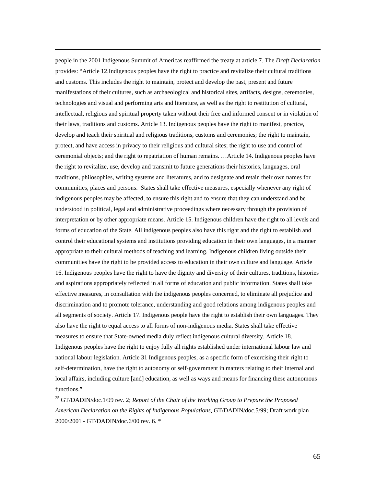people in the 2001 Indigenous Summit of Americas reaffirmed the treaty at article 7. The *Draft Declaration* provides: "Article 12.Indigenous peoples have the right to practice and revitalize their cultural traditions and customs. This includes the right to maintain, protect and develop the past, present and future manifestations of their cultures, such as archaeological and historical sites, artifacts, designs, ceremonies, technologies and visual and performing arts and literature, as well as the right to restitution of cultural, intellectual, religious and spiritual property taken without their free and informed consent or in violation of their laws, traditions and customs. Article 13. Indigenous peoples have the right to manifest, practice, develop and teach their spiritual and religious traditions, customs and ceremonies; the right to maintain, protect, and have access in privacy to their religious and cultural sites; the right to use and control of ceremonial objects; and the right to repatriation of human remains. …Article 14. Indigenous peoples have the right to revitalize, use, develop and transmit to future generations their histories, languages, oral traditions, philosophies, writing systems and literatures, and to designate and retain their own names for communities, places and persons. States shall take effective measures, especially whenever any right of indigenous peoples may be affected, to ensure this right and to ensure that they can understand and be understood in political, legal and administrative proceedings where necessary through the provision of interpretation or by other appropriate means. Article 15. Indigenous children have the right to all levels and forms of education of the State. All indigenous peoples also have this right and the right to establish and control their educational systems and institutions providing education in their own languages, in a manner appropriate to their cultural methods of teaching and learning. Indigenous children living outside their communities have the right to be provided access to education in their own culture and language. Article 16. Indigenous peoples have the right to have the dignity and diversity of their cultures, traditions, histories and aspirations appropriately reflected in all forms of education and public information. States shall take effective measures, in consultation with the indigenous peoples concerned, to eliminate all prejudice and discrimination and to promote tolerance, understanding and good relations among indigenous peoples and all segments of society. Article 17. Indigenous people have the right to establish their own languages. They also have the right to equal access to all forms of non-indigenous media. States shall take effective measures to ensure that State-owned media duly reflect indigenous cultural diversity. Article 18. Indigenous peoples have the right to enjoy fully all rights established under international labour law and national labour legislation. Article 31 Indigenous peoples, as a specific form of exercising their right to self-determination, have the right to autonomy or self-government in matters relating to their internal and local affairs, including culture [and] education, as well as ways and means for financing these autonomous functions."

 $\overline{a}$ 

<sup>25</sup> GT/DADIN/doc.1/99 rev. 2; *Report of the Chair of the Working Group to Prepare the Proposed American Declaration on the Rights of Indigenous Populations,* GT/DADIN/doc.5/99; Draft work plan 2000/2001 - GT/DADIN/doc.6/00 rev. 6. \*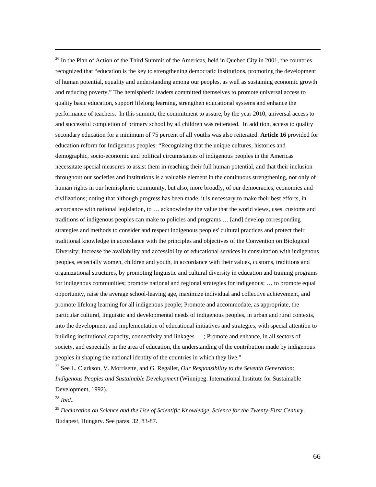$26$  In the Plan of Action of the Third Summit of the Americas, held in Quebec City in 2001, the countries recognized that "education is the key to strengthening democratic institutions, promoting the development of human potential, equality and understanding among our peoples, as well as sustaining economic growth and reducing poverty." The hemispheric leaders committed themselves to promote universal access to quality basic education, support lifelong learning, strengthen educational systems and enhance the performance of teachers. In this summit, the commitment to assure, by the year 2010, universal access to and successful completion of primary school by all children was reiterated. In addition, access to quality secondary education for a minimum of 75 percent of all youths was also reiterated. **Article 16** provided for education reform for Indigenous peoples: "Recognizing that the unique cultures, histories and demographic, socio-economic and political circumstances of indigenous peoples in the Americas necessitate special measures to assist them in reaching their full human potential, and that their inclusion throughout our societies and institutions is a valuable element in the continuous strengthening, not only of human rights in our hemispheric community, but also, more broadly, of our democracies, economies and civilizations; noting that although progress has been made, it is necessary to make their best efforts, in accordance with national legislation, to … acknowledge the value that the world views, uses, customs and traditions of indigenous peoples can make to policies and programs … [and] develop corresponding strategies and methods to consider and respect indigenous peoples' cultural practices and protect their traditional knowledge in accordance with the principles and objectives of the Convention on Biological Diversity; Increase the availability and accessibility of educational services in consultation with indigenous peoples, especially women, children and youth, in accordance with their values, customs, traditions and organizational structures, by promoting linguistic and cultural diversity in education and training programs for indigenous communities; promote national and regional strategies for indigenous; … to promote equal opportunity, raise the average school-leaving age, maximize individual and collective achievement, and promote lifelong learning for all indigenous people; Promote and accommodate, as appropriate, the particular cultural, linguistic and developmental needs of indigenous peoples, in urban and rural contexts, into the development and implementation of educational initiatives and strategies, with special attention to building institutional capacity, connectivity and linkages … ; Promote and enhance, in all sectors of society, and especially in the area of education, the understanding of the contribution made by indigenous peoples in shaping the national identity of the countries in which they live."

<sup>27</sup> See L. Clarkson, V. Morrisette, and G. Regallet, *Our Responsibility to the Seventh Generation: Indigenous Peoples and Sustainable Development* (Winnipeg: International Institute for Sustainable Development, 1992).

<sup>28</sup> *Ibid..*

 $\overline{a}$ 

<sup>29</sup> *Declaration on Science and the Use of Scientific Knowledge, Science for the Twenty-First Century*, Budapest, Hungary. See paras. 32, 83-87.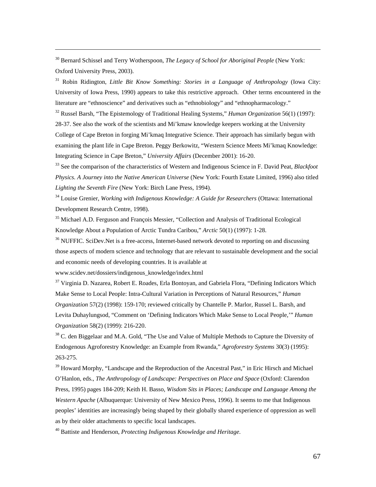<sup>30</sup> Bernard Schissel and Terry Wotherspoon, *The Legacy of School for Aboriginal People* (New York: Oxford University Press, 2003).

<sup>31</sup> Robin Ridington, *Little Bit Know Something: Stories in a Language of Anthropology* (Iowa City: University of Iowa Press, 1990) appears to take this restrictive approach. Other terms encountered in the literature are "ethnoscience" and derivatives such as "ethnobiology" and "ethnopharmacology."

<sup>32</sup> Russel Barsh, "The Epistemology of Traditional Healing Systems," *Human Organization* 56(1) (1997): 28-37. See also the work of the scientists and Mi'kmaw knowledge keepers working at the University College of Cape Breton in forging Mi'kmaq Integrative Science. Their approach has similarly begun with examining the plant life in Cape Breton. Peggy Berkowitz, "Western Science Meets Mi'kmaq Knowledge: Integrating Science in Cape Breton," *University Affairs* (December 2001): 16-20.

<sup>33</sup> See the comparison of the characteristics of Western and Indigenous Science in F. David Peat, *Blackfoot Physics. A Journey into the Native American Universe* (New York: Fourth Estate Limited, 1996) also titled *Lighting the Seventh Fire* (New York: Birch Lane Press, 1994).

<sup>34</sup> Louise Grenier, *Working with Indigenous Knowledge: A Guide for Researchers* (Ottawa: International Development Research Centre, 1998).

<sup>35</sup> Michael A.D. Ferguson and François Messier, "Collection and Analysis of Traditional Ecological Knowledge About a Population of Arctic Tundra Caribou," *Arctic* 50(1) (1997): 1-28.

<sup>36</sup> NUFFIC. SciDev.Net is a free-access, Internet-based network devoted to reporting on and discussing those aspects of modern science and technology that are relevant to sustainable development and the social and economic needs of developing countries. It is available at

www.scidev.net/dossiers/indigenous\_knowledge/index.html

 $\overline{a}$ 

<sup>37</sup> Virginia D. Nazarea, Robert E. Roades, Erla Bontoyan, and Gabriela Flora, "Defining Indicators Which Make Sense to Local People: Intra-Cultural Variation in Perceptions of Natural Resources," *Human Organization* 57(2) (1998): 159-170; reviewed critically by Chantelle P. Marlor, Russel L. Barsh, and Levita Duhaylungsod, "Comment on 'Defining Indicators Which Make Sense to Local People,'" *Human Organization* 58(2) (1999): 216-220.

<sup>38</sup> C. den Biggelaar and M.A. Gold, "The Use and Value of Multiple Methods to Capture the Diversity of Endogenous Agroforestry Knowledge: an Example from Rwanda," *Agroforestry Systems* 30(3) (1995): 263-275.

<sup>39</sup> Howard Morphy, "Landscape and the Reproduction of the Ancestral Past," in Eric Hirsch and Michael O'Hanlon, eds., *The Anthropology of Landscape: Perspectives on Place and Space* (Oxford: Clarendon Press, 1995) pages 184-209; Keith H. Basso, *Wisdom Sits in Places; Landscape and Language Among the Western Apache* (Albuquerque: University of New Mexico Press, 1996). It seems to me that Indigenous peoples' identities are increasingly being shaped by their globally shared experience of oppression as well as by their older attachments to specific local landscapes.

<sup>40</sup> Battiste and Henderson, *Protecting Indigenous Knowledge and Heritage*.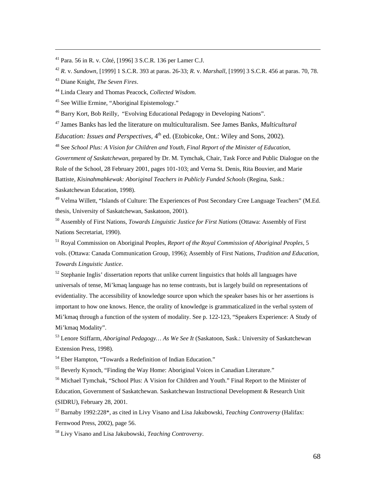$^{41}$  Para. 56 in R. v. Côté, [1996] 3 S.C.R. 136 per Lamer C.J.

<sup>42</sup> *R.* v. *Sundown,* [1999] 1 S.C.R. 393 at paras. 26-33; *R.* v. *Marshall*, [1999] 3 S.C.R. 456 at paras. 70, 78.

<sup>43</sup> Diane Knight, *The Seven Fires*.

 $\overline{a}$ 

<sup>44</sup> Linda Cleary and Thomas Peacock, *Collected Wisdom.*

<sup>45</sup> See Willie Ermine, "Aboriginal Epistemology."

<sup>46</sup> Barry Kort, Bob Reilly, "Evolving Educational Pedagogy in Developing Nations".

<sup>47</sup> James Banks has led the literature on multiculturalism. See James Banks, *Multicultural*

*Education: Issues and Perspectives,* 4<sup>th</sup> ed. (Etobicoke, Ont.: Wiley and Sons, 2002).

<sup>48</sup> See *School Plus: A Vision for Children and Youth*, *Final Report of the Minister of Education,*

*Government of Saskatchewan,* prepared by Dr. M. Tymchak, Chair, Task Force and Public Dialogue on the Role of the School, 28 February 2001, pages 101-103; and Verna St. Denis, Rita Bouvier, and Marie Battiste, *Kisinahmahkewak: Aboriginal Teachers in Publicly Funded Schools* (Regina, Sask.: Saskatchewan Education, 1998).

 $^{49}$  Velma Willett, "Islands of Culture: The Experiences of Post Secondary Cree Language Teachers" (M.Ed.) thesis, University of Saskatchewan, Saskatoon, 2001).

<sup>50</sup> Assembly of First Nations, *Towards Linguistic Justice for First Nations* (Ottawa: Assembly of First Nations Secretariat, 1990).

<sup>51</sup> Royal Commission on Aboriginal Peoples, *Report of the Royal Commission of Aboriginal Peoples,* 5 vols. (Ottawa: Canada Communication Group, 1996); Assembly of First Nations, *Tradition and Education, Towards Linguistic Justice*.

 $52$  Stephanie Inglis' dissertation reports that unlike current linguistics that holds all languages have universals of tense, Mi'kmaq language has no tense contrasts, but is largely build on representations of evidentiality. The accessibility of knowledge source upon which the speaker bases his or her assertions is important to how one knows. Hence, the orality of knowledge is grammaticalized in the verbal system of Mi'kmaq through a function of the system of modality. See p. 122-123, "Speakers Experience: A Study of Mi'kmaq Modality".

<sup>53</sup> Lenore Stiffarm, *Aboriginal Pedagogy… As We See It* (Saskatoon, Sask.: University of Saskatchewan Extension Press, 1998).

<sup>54</sup> Eber Hampton, "Towards a Redefinition of Indian Education."

<sup>55</sup> Beverly Kynoch, "Finding the Way Home: Aboriginal Voices in Canadian Literature."

<sup>56</sup> Michael Tymchak, "School Plus: A Vision for Children and Youth." Final Report to the Minister of Education, Government of Saskatchewan. Saskatchewan Instructional Development & Research Unit (SIDRU), February 28, 2001.

<sup>57</sup> Barnaby 1992:228\*, as cited in Livy Visano and Lisa Jakubowski, *Teaching Controversy* (Halifax: Fernwood Press, 2002), page 56.

<sup>58</sup> Livy Visano and Lisa Jakubowski, *Teaching Controversy*.